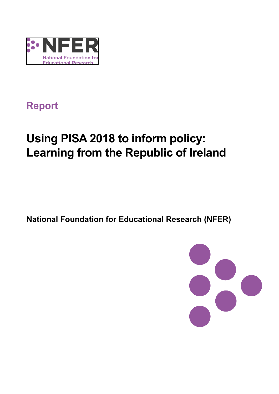

## **Report**

# **Using PISA 2018 to inform policy: Learning from the Republic of Ireland**

**National Foundation for Educational Research (NFER)**

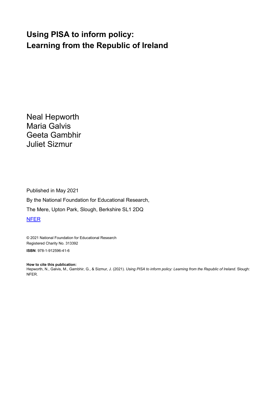## **Using PISA to inform policy: Learning from the Republic of Ireland**

Neal Hepworth Maria Galvis Geeta Gambhir Juliet Sizmur

Published in May 2021 By the National Foundation for Educational Research, The Mere, Upton Park, Slough, Berkshire SL1 2DQ [NFER](http://www.nfer.ac.uk/)

© 2021 National Foundation for Educational Research Registered Charity No. 313392

**ISBN**: 978-1-912596-41-6

**How to cite this publication:** Hepworth, N., Galvis, M., Gambhir, G., & Sizmur, J. (2021). *Using PISA to inform policy: Learning from the Republic of Ireland.* Slough: NFER.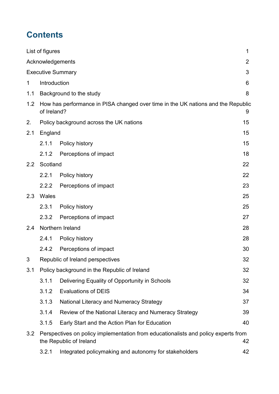## **Contents**

| List of figures          |                                                                                                                     |                                                                                  |    |  |  |  |
|--------------------------|---------------------------------------------------------------------------------------------------------------------|----------------------------------------------------------------------------------|----|--|--|--|
| Acknowledgements         |                                                                                                                     |                                                                                  |    |  |  |  |
| <b>Executive Summary</b> |                                                                                                                     |                                                                                  |    |  |  |  |
| $\mathbf 1$              | Introduction                                                                                                        |                                                                                  |    |  |  |  |
| 1.1                      |                                                                                                                     | Background to the study                                                          |    |  |  |  |
| 1.2                      | of Ireland?                                                                                                         | How has performance in PISA changed over time in the UK nations and the Republic |    |  |  |  |
| 2.                       |                                                                                                                     | Policy background across the UK nations                                          |    |  |  |  |
| 2.1                      | England                                                                                                             |                                                                                  |    |  |  |  |
|                          | 2.1.1                                                                                                               | Policy history                                                                   | 15 |  |  |  |
|                          | 2.1.2                                                                                                               | Perceptions of impact                                                            | 18 |  |  |  |
| $2.2^{\circ}$            | Scotland                                                                                                            |                                                                                  |    |  |  |  |
|                          | 2.2.1                                                                                                               | Policy history                                                                   | 22 |  |  |  |
|                          | 2.2.2                                                                                                               | Perceptions of impact                                                            | 23 |  |  |  |
| 2.3                      | Wales<br>25                                                                                                         |                                                                                  |    |  |  |  |
|                          | 2.3.1                                                                                                               | Policy history                                                                   | 25 |  |  |  |
|                          | 2.3.2                                                                                                               | Perceptions of impact                                                            | 27 |  |  |  |
| 2.4                      | Northern Ireland                                                                                                    |                                                                                  | 28 |  |  |  |
|                          | 2.4.1                                                                                                               | Policy history                                                                   | 28 |  |  |  |
|                          | 2.4.2                                                                                                               | Perceptions of impact                                                            | 30 |  |  |  |
| 3                        |                                                                                                                     | Republic of Ireland perspectives<br>32                                           |    |  |  |  |
| 3.1                      | Policy background in the Republic of Ireland<br>32                                                                  |                                                                                  |    |  |  |  |
|                          | 3.1.1                                                                                                               | Delivering Equality of Opportunity in Schools                                    | 32 |  |  |  |
|                          | 3.1.2                                                                                                               | <b>Evaluations of DEIS</b>                                                       | 34 |  |  |  |
|                          | 3.1.3                                                                                                               | National Literacy and Numeracy Strategy                                          | 37 |  |  |  |
|                          | 3.1.4                                                                                                               | Review of the National Literacy and Numeracy Strategy                            | 39 |  |  |  |
|                          | 3.1.5                                                                                                               | Early Start and the Action Plan for Education                                    | 40 |  |  |  |
| 3.2                      | Perspectives on policy implementation from educationalists and policy experts from<br>the Republic of Ireland<br>42 |                                                                                  |    |  |  |  |
|                          | 3.2.1                                                                                                               | Integrated policymaking and autonomy for stakeholders                            | 42 |  |  |  |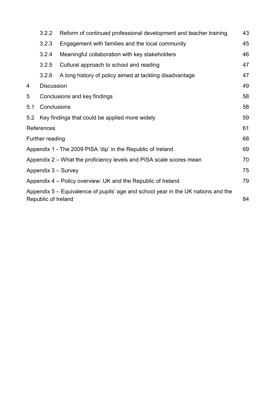|                                                                                                          | 3.2.2             | Reform of continued professional development and teacher training | 43 |  |
|----------------------------------------------------------------------------------------------------------|-------------------|-------------------------------------------------------------------|----|--|
|                                                                                                          | 3.2.3             | Engagement with families and the local community                  | 45 |  |
|                                                                                                          | 3.2.4             | Meaningful collaboration with key stakeholders                    | 46 |  |
|                                                                                                          | 3.2.5             | Cultural approach to school and reading                           | 47 |  |
|                                                                                                          | 3.2.6             | A long history of policy aimed at tackling disadvantage           | 47 |  |
| 4                                                                                                        | <b>Discussion</b> |                                                                   | 49 |  |
| 5<br>Conclusions and key findings                                                                        |                   |                                                                   | 58 |  |
| Conclusions<br>5.1                                                                                       |                   |                                                                   | 58 |  |
| 5.2                                                                                                      |                   | Key findings that could be applied more widely                    | 59 |  |
| References                                                                                               |                   |                                                                   | 61 |  |
| Further reading                                                                                          |                   |                                                                   |    |  |
| Appendix 1 - The 2009 PISA 'dip' in the Republic of Ireland                                              |                   |                                                                   |    |  |
| Appendix 2 – What the proficiency levels and PISA scale scores mean                                      |                   |                                                                   |    |  |
| Appendix 3 - Survey                                                                                      |                   |                                                                   |    |  |
| Appendix 4 – Policy overview: UK and the Republic of Ireland                                             |                   |                                                                   |    |  |
| Appendix 5 – Equivalence of pupils' age and school year in the UK nations and the<br>Republic of Ireland |                   |                                                                   |    |  |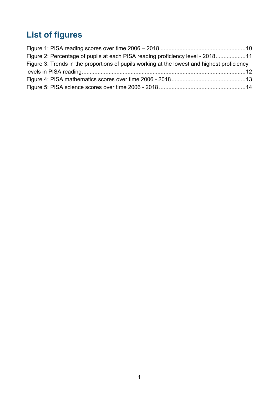## <span id="page-4-0"></span>**List of figures**

| Figure 2: Percentage of pupils at each PISA reading proficiency level - 201811              |  |
|---------------------------------------------------------------------------------------------|--|
| Figure 3: Trends in the proportions of pupils working at the lowest and highest proficiency |  |
|                                                                                             |  |
|                                                                                             |  |
|                                                                                             |  |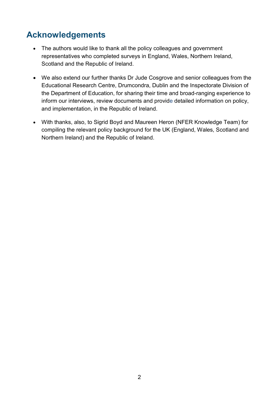## <span id="page-5-0"></span>**Acknowledgements**

- The authors would like to thank all the policy colleagues and government representatives who completed surveys in England, Wales, Northern Ireland, Scotland and the Republic of Ireland.
- We also extend our further thanks Dr Jude Cosgrove and senior colleagues from the Educational Research Centre, Drumcondra, Dublin and the Inspectorate Division of the Department of Education, for sharing their time and broad-ranging experience to inform our interviews, review documents and provide detailed information on policy, and implementation, in the Republic of Ireland.
- With thanks, also, to Sigrid Boyd and Maureen Heron (NFER Knowledge Team) for compiling the relevant policy background for the UK (England, Wales, Scotland and Northern Ireland) and the Republic of Ireland.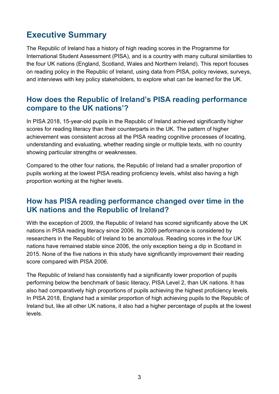## <span id="page-6-0"></span>**Executive Summary**

The Republic of Ireland has a history of high reading scores in the Programme for International Student Assessment (PISA), and is a country with many cultural similarities to the four UK nations (England, Scotland, Wales and Northern Ireland). This report focuses on reading policy in the Republic of Ireland, using data from PISA, policy reviews, surveys, and interviews with key policy stakeholders, to explore what can be learned for the UK.

## **How does the Republic of Ireland's PISA reading performance compare to the UK nations'?**

In PISA 2018, 15-year-old pupils in the Republic of Ireland achieved significantly higher scores for reading literacy than their counterparts in the UK. The pattern of higher achievement was consistent across all the PISA reading cognitive processes of locating. understanding and evaluating, whether reading single or multiple texts, with no country showing particular strengths or weaknesses.

Compared to the other four nations, the Republic of Ireland had a smaller proportion of pupils working at the lowest PISA reading proficiency levels, whilst also having a high proportion working at the higher levels.

## **How has PISA reading performance changed over time in the UK nations and the Republic of Ireland?**

With the exception of 2009, the Republic of Ireland has scored significantly above the UK nations in PISA reading literacy since 2006. Its 2009 performance is considered by researchers in the Republic of Ireland to be anomalous. Reading scores in the four UK nations have remained stable since 2006, the only exception being a dip in Scotland in 2015. None of the five nations in this study have significantly improvement their reading score compared with PISA 2006.

The Republic of Ireland has consistently had a significantly lower proportion of pupils performing below the benchmark of basic literacy, PISA Level 2, than UK nations. It has also had comparatively high proportions of pupils achieving the highest proficiency levels. In PISA 2018, England had a similar proportion of high achieving pupils to the Republic of Ireland but, like all other UK nations, it also had a higher percentage of pupils at the lowest levels.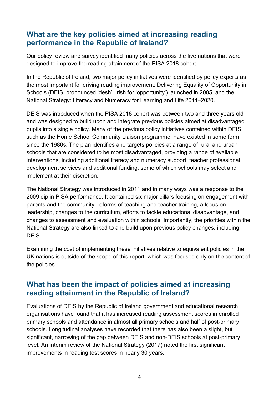## **What are the key policies aimed at increasing reading performance in the Republic of Ireland?**

Our policy review and survey identified many policies across the five nations that were designed to improve the reading attainment of the PISA 2018 cohort.

In the Republic of Ireland, two major policy initiatives were identified by policy experts as the most important for driving reading improvement: Delivering Equality of Opportunity in Schools (DEIS, pronounced 'desh', Irish for 'opportunity') launched in 2005, and the National Strategy: Literacy and Numeracy for Learning and Life 2011–2020.

DEIS was introduced when the PISA 2018 cohort was between two and three years old and was designed to build upon and integrate previous policies aimed at disadvantaged pupils into a single policy. Many of the previous policy initiatives contained within DEIS, such as the Home School Community Liaison programme, have existed in some form since the 1980s. The plan identifies and targets policies at a range of rural and urban schools that are considered to be most disadvantaged, providing a range of available interventions, including additional literacy and numeracy support, teacher professional development services and additional funding, some of which schools may select and implement at their discretion.

The National Strategy was introduced in 2011 and in many ways was a response to the 2009 dip in PISA performance. It contained six major pillars focusing on engagement with parents and the community, reforms of teaching and teacher training, a focus on leadership, changes to the curriculum, efforts to tackle educational disadvantage, and changes to assessment and evaluation within schools. Importantly, the priorities within the National Strategy are also linked to and build upon previous policy changes, including DEIS.

Examining the cost of implementing these initiatives relative to equivalent policies in the UK nations is outside of the scope of this report, which was focused only on the content of the policies.

## **What has been the impact of policies aimed at increasing reading attainment in the Republic of Ireland?**

Evaluations of DEIS by the Republic of Ireland government and educational research organisations have found that it has increased reading assessment scores in enrolled primary schools and attendance in almost all primary schools and half of post-primary schools. Longitudinal analyses have recorded that there has also been a slight, but significant, narrowing of the gap between DEIS and non-DEIS schools at post-primary level. An interim review of the National Strategy (2017) noted the first significant improvements in reading test scores in nearly 30 years.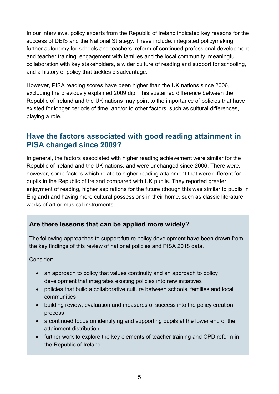In our interviews, policy experts from the Republic of Ireland indicated key reasons for the success of DEIS and the National Strategy. These include: integrated policymaking, further autonomy for schools and teachers, reform of continued professional development and teacher training, engagement with families and the local community, meaningful collaboration with key stakeholders, a wider culture of reading and support for schooling, and a history of policy that tackles disadvantage.

However, PISA reading scores have been higher than the UK nations since 2006, excluding the previously explained 2009 dip. This sustained difference between the Republic of Ireland and the UK nations may point to the importance of policies that have existed for longer periods of time, and/or to other factors, such as cultural differences, playing a role.

## **Have the factors associated with good reading attainment in PISA changed since 2009?**

In general, the factors associated with higher reading achievement were similar for the Republic of Ireland and the UK nations, and were unchanged since 2006. There were, however, some factors which relate to higher reading attainment that were different for pupils in the Republic of Ireland compared with UK pupils. They reported greater enjoyment of reading, higher aspirations for the future (though this was similar to pupils in England) and having more cultural possessions in their home, such as classic literature, works of art or musical instruments.

### **Are there lessons that can be applied more widely?**

The following approaches to support future policy development have been drawn from the key findings of this review of national policies and PISA 2018 data.

Consider:

- an approach to policy that values continuity and an approach to policy development that integrates existing policies into new initiatives
- policies that build a collaborative culture between schools, families and local communities
- building review, evaluation and measures of success into the policy creation process
- a continued focus on identifying and supporting pupils at the lower end of the attainment distribution
- further work to explore the key elements of teacher training and CPD reform in the Republic of Ireland.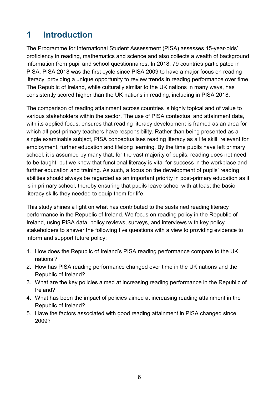## <span id="page-9-0"></span>**1 Introduction**

The Programme for International Student Assessment (PISA) assesses 15-year-olds' proficiency in reading, mathematics and science and also collects a wealth of background information from pupil and school questionnaires. In 2018, 79 countries participated in PISA. PISA 2018 was the first cycle since PISA 2009 to have a major focus on reading literacy, providing a unique opportunity to review trends in reading performance over time. The Republic of Ireland, while culturally similar to the UK nations in many ways, has consistently scored higher than the UK nations in reading, including in PISA 2018.

The comparison of reading attainment across countries is highly topical and of value to various stakeholders within the sector. The use of PISA contextual and attainment data, with its applied focus, ensures that reading literacy development is framed as an area for which all post-primary teachers have responsibility. Rather than being presented as a single examinable subject, PISA conceptualises reading literacy as a life skill, relevant for employment, further education and lifelong learning. By the time pupils have left primary school, it is assumed by many that, for the vast majority of pupils, reading does not need to be taught; but we know that functional literacy is vital for success in the workplace and further education and training. As such, a focus on the development of pupils' reading abilities should always be regarded as an important priority in post-primary education as it is in primary school, thereby ensuring that pupils leave school with at least the basic literacy skills they needed to equip them for life.

This study shines a light on what has contributed to the sustained reading literacy performance in the Republic of Ireland. We focus on reading policy in the Republic of Ireland, using PISA data, policy reviews, surveys, and interviews with key policy stakeholders to answer the following five questions with a view to providing evidence to inform and support future policy:

- 1. How does the Republic of Ireland's PISA reading performance compare to the UK nations'?
- 2. How has PISA reading performance changed over time in the UK nations and the Republic of Ireland?
- 3. What are the key policies aimed at increasing reading performance in the Republic of Ireland?
- 4. What has been the impact of policies aimed at increasing reading attainment in the Republic of Ireland?
- 5. Have the factors associated with good reading attainment in PISA changed since 2009?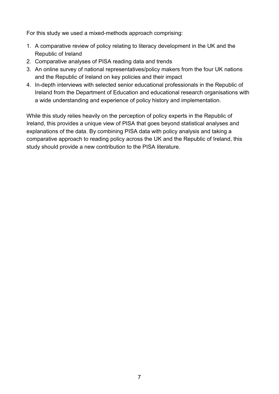For this study we used a mixed-methods approach comprising:

- 1. A comparative review of policy relating to literacy development in the UK and the Republic of Ireland
- 2. Comparative analyses of PISA reading data and trends
- 3. An online survey of national representatives/policy makers from the four UK nations and the Republic of Ireland on key policies and their impact
- 4. In-depth interviews with selected senior educational professionals in the Republic of Ireland from the Department of Education and educational research organisations with a wide understanding and experience of policy history and implementation.

While this study relies heavily on the perception of policy experts in the Republic of Ireland, this provides a unique view of PISA that goes beyond statistical analyses and explanations of the data. By combining PISA data with policy analysis and taking a comparative approach to reading policy across the UK and the Republic of Ireland, this study should provide a new contribution to the PISA literature.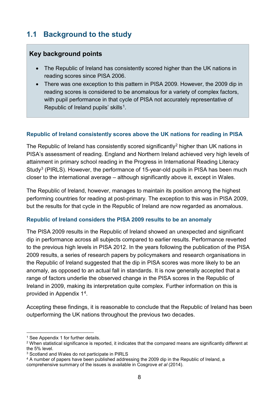## <span id="page-11-0"></span>**1.1 Background to the study**

#### **Key background points**

- The Republic of Ireland has consistently scored higher than the UK nations in reading scores since PISA 2006.
- There was one exception to this pattern in PISA 2009. However, the 2009 dip in reading scores is considered to be anomalous for a variety of complex factors, with pupil performance in that cycle of PISA not accurately representative of Republic of Ireland pupils' skills<sup>[1](#page-11-1)</sup>.

#### **Republic of Ireland consistently scores above the UK nations for reading in PISA**

The Republic of Ireland has consistently scored significantly<sup>[2](#page-11-2)</sup> higher than UK nations in PISA's assessment of reading. England and Northern Ireland achieved very high levels of attainment in primary school reading in the Progress in International Reading Literacy Study<sup>[3](#page-11-3)</sup> (PIRLS). However, the performance of 15-year-old pupils in PISA has been much closer to the international average – although significantly above it, except in Wales.

The Republic of Ireland, however, manages to maintain its position among the highest performing countries for reading at post-primary. The exception to this was in PISA 2009, but the results for that cycle in the Republic of Ireland are now regarded as anomalous.

#### **Republic of Ireland considers the PISA 2009 results to be an anomaly**

The PISA 2009 results in the Republic of Ireland showed an unexpected and significant dip in performance across all subjects compared to earlier results. Performance reverted to the previous high levels in PISA 2012. In the years following the publication of the PISA 2009 results, a series of research papers by policymakers and research organisations in the Republic of Ireland suggested that the dip in PISA scores was more likely to be an anomaly, as opposed to an actual fall in standards. It is now generally accepted that a range of factors underlie the observed change in the PISA scores in the Republic of Ireland in 2009, making its interpretation quite complex. Further information on this is provided in Appendix 1[4.](#page-11-4)

Accepting these findings, it is reasonable to conclude that the Republic of Ireland has been outperforming the UK nations throughout the previous two decades.

<span id="page-11-1"></span><sup>&</sup>lt;sup>1</sup> See Appendix 1 for further details.

<span id="page-11-2"></span><sup>2</sup> When statistical significance is reported, it indicates that the compared means are significantly different at the 5% level.

<span id="page-11-3"></span><sup>&</sup>lt;sup>3</sup> Scotland and Wales do not participate in PIRLS

<span id="page-11-4"></span><sup>&</sup>lt;sup>4</sup> A number of papers have been published addressing the 2009 dip in the Republic of Ireland, a comprehensive summary of the issues is available in Cosgrove *et al* (2014).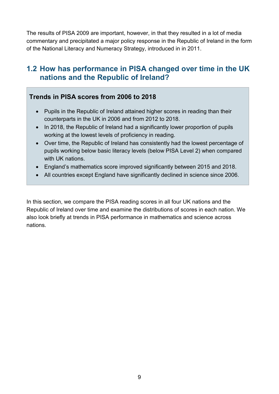The results of PISA 2009 are important, however, in that they resulted in a lot of media commentary and precipitated a major policy response in the Republic of Ireland in the form of the National Literacy and Numeracy Strategy, introduced in in 2011.

## <span id="page-12-0"></span>**1.2 How has performance in PISA changed over time in the UK nations and the Republic of Ireland?**

### **Trends in PISA scores from 2006 to 2018**

- Pupils in the Republic of Ireland attained higher scores in reading than their counterparts in the UK in 2006 and from 2012 to 2018.
- In 2018, the Republic of Ireland had a significantly lower proportion of pupils working at the lowest levels of proficiency in reading.
- Over time, the Republic of Ireland has consistently had the lowest percentage of pupils working below basic literacy levels (below PISA Level 2) when compared with UK nations.
- England's mathematics score improved significantly between 2015 and 2018.
- All countries except England have significantly declined in science since 2006.

In this section, we compare the PISA reading scores in all four UK nations and the Republic of Ireland over time and examine the distributions of scores in each nation. We also look briefly at trends in PISA performance in mathematics and science across nations.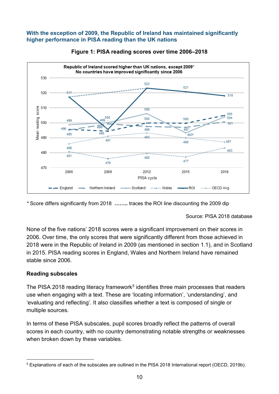#### **With the exception of 2009, the Republic of Ireland has maintained significantly higher performance in PISA reading than the UK nations**

<span id="page-13-0"></span>



*\** Score differs significantly from 2018 **……..** traces the ROI line discounting the 2009 dip

Source: PISA 2018 database

None of the five nations' 2018 scores were a significant improvement on their scores in 2006. Over time, the only scores that were significantly different from those achieved in 2018 were in the Republic of Ireland in 2009 (as mentioned in section 1.1), and in Scotland in 2015. PISA reading scores in England, Wales and Northern Ireland have remained stable since 2006.

#### **Reading subscales**

The PISA 2018 reading literacy framework<sup>[5](#page-13-1)</sup> identifies three main processes that readers use when engaging with a text. These are 'locating information', 'understanding', and 'evaluating and reflecting'. It also classifies whether a text is composed of single or multiple sources.

In terms of these PISA subscales, pupil scores broadly reflect the patterns of overall scores in each country, with no country demonstrating notable strengths or weaknesses when broken down by these variables.

<span id="page-13-1"></span> <sup>5</sup> Explanations of each of the subscales are outlined in the PISA 2018 International report (OECD, 2019b).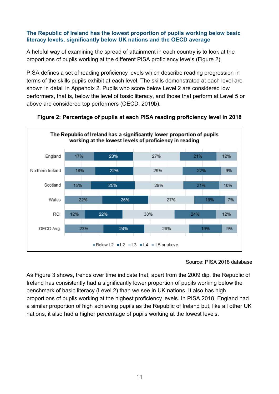#### **The Republic of Ireland has the lowest proportion of pupils working below basic literacy levels, significantly below UK nations and the OECD average**

A helpful way of examining the spread of attainment in each country is to look at the proportions of pupils working at the different PISA proficiency levels (Figure 2).

PISA defines a set of reading proficiency levels which describe reading progression in terms of the skills pupils exhibit at each level. The skills demonstrated at each level are shown in detail in Appendix 2. Pupils who score below Level 2 are considered low performers, that is, below the level of basic literacy, and those that perform at Level 5 or above are considered top performers (OECD, 2019b).



<span id="page-14-0"></span>

Source: PISA 2018 database

<span id="page-14-1"></span>As Figure 3 shows, trends over time indicate that, apart from the 2009 dip, the Republic of Ireland has consistently had a significantly lower proportion of pupils working below the benchmark of basic literacy (Level 2) than we see in UK nations. It also has high proportions of pupils working at the highest proficiency levels. In PISA 2018, England had a similar proportion of high achieving pupils as the Republic of Ireland but, like all other UK nations, it also had a higher percentage of pupils working at the lowest levels.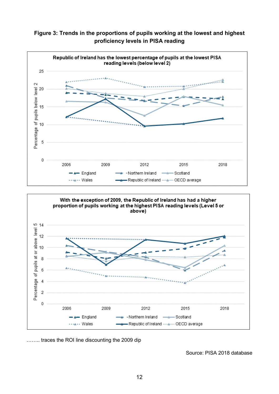**Figure 3: Trends in the proportions of pupils working at the lowest and highest proficiency levels in PISA reading**





…….. traces the ROI line discounting the 2009 dip

Source: PISA 2018 database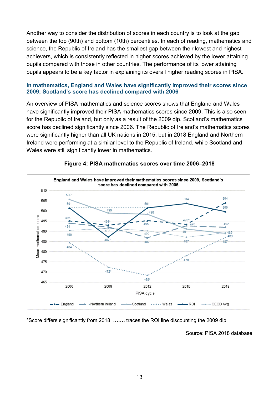Another way to consider the distribution of scores in each country is to look at the gap between the top (90th) and bottom (10th) percentiles. In each of reading, mathematics and science, the Republic of Ireland has the smallest gap between their lowest and highest achievers, which is consistently reflected in higher scores achieved by the lower attaining pupils compared with those in other countries. The performance of its lower attaining pupils appears to be a key factor in explaining its overall higher reading scores in PISA.

#### **In mathematics, England and Wales have significantly improved their scores since 2009; Scotland's score has declined compared with 2006**

An overview of PISA mathematics and science scores shows that England and Wales have significantly improved their PISA mathematics scores since 2009. This is also seen for the Republic of Ireland, but only as a result of the 2009 dip. Scotland's mathematics score has declined significantly since 2006. The Republic of Ireland's mathematics scores were significantly higher than all UK nations in 2015, but in 2018 England and Northern Ireland were performing at a similar level to the Republic of Ireland, while Scotland and Wales were still significantly lower in mathematics.



#### <span id="page-16-0"></span>**Figure 4: PISA mathematics scores over time 2006–2018**

\*Score differs significantly from 2018 **…….** traces the ROI line discounting the 2009 dip

Source: PISA 2018 database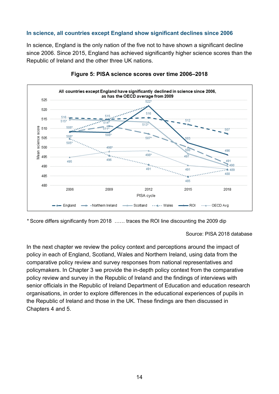#### **In science, all countries except England show significant declines since 2006**

In science, England is the only nation of the five not to have shown a significant decline since 2006. Since 2015, England has achieved significantly higher science scores than the Republic of Ireland and the other three UK nations.

<span id="page-17-0"></span>



*\** Score differs significantly from 2018 …… traces the ROI line discounting the 2009 dip

Source: PISA 2018 database

In the next chapter we review the policy context and perceptions around the impact of policy in each of England, Scotland, Wales and Northern Ireland, using data from the comparative policy review and survey responses from national representatives and policymakers. In Chapter 3 we provide the in-depth policy context from the comparative policy review and survey in the Republic of Ireland and the findings of interviews with senior officials in the Republic of Ireland Department of Education and education research organisations, in order to explore differences in the educational experiences of pupils in the Republic of Ireland and those in the UK. These findings are then discussed in Chapters 4 and 5.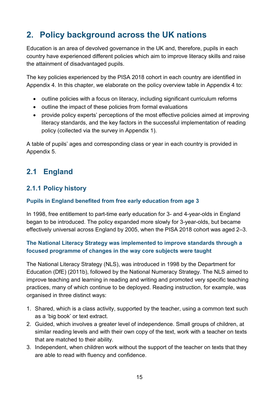## <span id="page-18-0"></span>**2. Policy background across the UK nations**

Education is an area of devolved governance in the UK and, therefore, pupils in each country have experienced different policies which aim to improve literacy skills and raise the attainment of disadvantaged pupils.

The key policies experienced by the PISA 2018 cohort in each country are identified in Appendix 4. In this chapter, we elaborate on the policy overview table in Appendix 4 to:

- outline policies with a focus on literacy, including significant curriculum reforms
- outline the impact of these policies from formal evaluations
- provide policy experts' perceptions of the most effective policies aimed at improving literacy standards, and the key factors in the successful implementation of reading policy (collected via the survey in Appendix 1).

A table of pupils' ages and corresponding class or year in each country is provided in Appendix 5.

## <span id="page-18-1"></span>**2.1 England**

### <span id="page-18-2"></span>**2.1.1 Policy history**

#### **Pupils in England benefited from free early education from age 3**

In 1998, free entitlement to part-time early education for 3- and 4-year-olds in England began to be introduced. The policy expanded more slowly for 3-year-olds, but became effectively universal across England by 2005, when the PISA 2018 cohort was aged 2–3.

#### **The National Literacy Strategy was implemented to improve standards through a focused programme of changes in the way core subjects were taught**

The National Literacy Strategy (NLS), was introduced in 1998 by the Department for Education (DfE) (2011b), followed by the National Numeracy Strategy. The NLS aimed to improve teaching and learning in reading and writing and promoted very specific teaching practices, many of which continue to be deployed. Reading instruction, for example, was organised in three distinct ways:

- 1. Shared, which is a class activity, supported by the teacher, using a common text such as a 'big book' or text extract.
- 2. Guided, which involves a greater level of independence. Small groups of children, at similar reading levels and with their own copy of the text, work with a teacher on texts that are matched to their ability.
- 3. Independent, when children work without the support of the teacher on texts that they are able to read with fluency and confidence.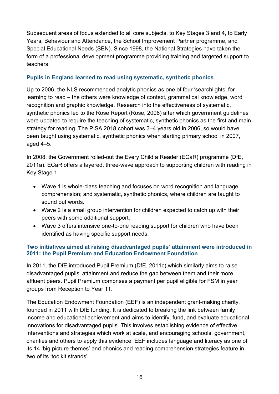Subsequent areas of focus extended to all core subjects, to Key Stages 3 and 4, to Early Years, Behaviour and Attendance, the School Improvement Partner programme, and Special Educational Needs (SEN). Since 1998, the National Strategies have taken the form of a professional development programme providing training and targeted support to teachers.

#### **Pupils in England learned to read using systematic, synthetic phonics**

Up to 2006, the NLS recommended analytic phonics as one of four 'searchlights' for learning to read – the others were knowledge of context, grammatical knowledge, word recognition and graphic knowledge. Research into the effectiveness of systematic, synthetic phonics led to the Rose Report (Rose, 2006) after which government guidelines were updated to require the teaching of systematic, synthetic phonics as the first and main strategy for reading. The PISA 2018 cohort was 3–4 years old in 2006, so would have been taught using systematic, synthetic phonics when starting primary school in 2007, aged 4–5.

In 2008, the Government rolled-out the Every Child a Reader (ECaR) programme (DfE, 2011a). ECaR offers a layered, three-wave approach to supporting children with reading in Key Stage 1.

- Wave 1 is whole-class teaching and focuses on word recognition and language comprehension; and systematic, synthetic phonics, where children are taught to sound out words.
- Wave 2 is a small group intervention for children expected to catch up with their peers with some additional support.
- Wave 3 offers intensive one-to-one reading support for children who have been identified as having specific support needs.

#### **Two initiatives aimed at raising disadvantaged pupils' attainment were introduced in 2011: the Pupil Premium and Education Endowment Foundation**

In 2011, the DfE introduced Pupil Premium (DfE, 2011c) which similarly aims to raise disadvantaged pupils' attainment and reduce the gap between them and their more affluent peers. Pupil Premium comprises a payment per pupil eligible for FSM in year groups from Reception to Year 11.

The Education Endowment Foundation (EEF) is an independent grant-making charity, founded in 2011 with DfE funding. It is dedicated to breaking the link between family income and educational achievement and aims to identify, fund, and evaluate educational innovations for disadvantaged pupils. This involves establishing evidence of effective interventions and strategies which work at scale, and encouraging schools, government, charities and others to apply this evidence. EEF includes language and literacy as one of its 14 'big picture themes' and phonics and reading comprehension strategies feature in two of its 'toolkit strands'.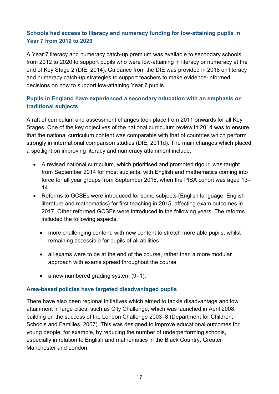#### **Schools had access to literacy and numeracy funding for low-attaining pupils in Year 7 from 2012 to 2020**

A Year 7 literacy and numeracy catch-up premium was available to secondary schools from 2012 to 2020 to support pupils who were low-attaining in literacy or numeracy at the end of Key Stage 2 (DfE, 2014). Guidance from the DfE was provided in 2018 on literacy and numeracy catch-up strategies to support teachers to make evidence-informed decisions on how to support low-attaining Year 7 pupils.

#### **Pupils in England have experienced a secondary education with an emphasis on traditional subjects**

A raft of curriculum and assessment changes took place from 2011 onwards for all Key Stages. One of the key objectives of the national curriculum review in 2014 was to ensure that the national curriculum content was comparable with that of countries which perform strongly in international comparison studies (DfE, 2011d). The main changes which placed a spotlight on improving literacy and numeracy attainment include:

- A revised national curriculum, which prioritised and promoted rigour, was taught from September 2014 for most subjects, with English and mathematics coming into force for all year groups from September 2016, when the PISA cohort was aged 13– 14.
- Reforms to GCSEs were introduced for some subjects (English language, English literature and mathematics) for first teaching in 2015, affecting exam outcomes in 2017. Other reformed GCSEs were introduced in the following years. The reforms included the following aspects:
	- more challenging content, with new content to stretch more able pupils, whilst remaining accessible for pupils of all abilities
	- all exams were to be at the end of the course, rather than a more modular approach with exams spread throughout the course
	- a new numbered grading system  $(9-1)$ .

#### **Area-based policies have targeted disadvantaged pupils**

There have also been regional initiatives which aimed to tackle disadvantage and low attainment in large cities, such as City Challenge, which was launched in April 2008, building on the success of the London Challenge 2003–8 (Department for Children, Schools and Families, 2007). This was designed to improve educational outcomes for young people, for example, by reducing the number of underperforming schools, especially in relation to English and mathematics in the Black Country, Greater Manchester and London.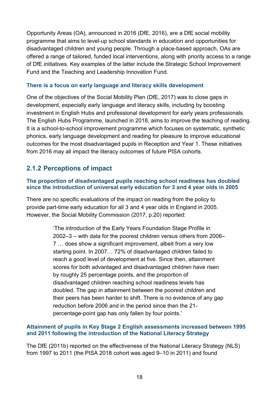Opportunity Areas (OA), announced in 2016 (DfE, 2016), are a DfE social mobility programme that aims to level-up school standards in education and opportunities for disadvantaged children and young people. Through a place-based approach, OAs are offered a range of tailored, funded local interventions, along with priority access to a range of DfE initiatives. Key examples of the latter include the Strategic School Improvement Fund and the Teaching and Leadership Innovation Fund.

#### **There is a focus on early language and literacy skills development**

One of the objectives of the Social Mobility Plan (DfE, 2017) was to close gaps in development, especially early language and literacy skills, including by boosting investment in English Hubs and professional development for early years professionals. The English Hubs Programme, launched in 2018, aims to improve the teaching of reading. It is a school-to-school improvement programme which focuses on systematic, synthetic phonics, early language development and reading for pleasure to improve educational outcomes for the most disadvantaged pupils in Reception and Year 1. These initiatives from 2016 may all impact the literacy outcomes of future PISA cohorts.

### <span id="page-21-0"></span>**2.1.2 Perceptions of impact**

#### **The proportion of disadvantaged pupils reaching school readiness has doubled since the introduction of universal early education for 3 and 4 year olds in 2005**

There are no specific evaluations of the impact on reading from the policy to provide part-time early education for all 3 and 4 year olds in England in 2005. However, the Social Mobility Commission (2017, p.20) reported:

> 'The introduction of the Early Years Foundation Stage Profile in 2002–3 – with data for the poorest children versus others from 2006– 7 … does show a significant improvement, albeit from a very low starting point. In 2007… 72% of disadvantaged children failed to reach a good level of development at five. Since then, attainment scores for both advantaged and disadvantaged children have risen by roughly 25 percentage points, and the proportion of disadvantaged children reaching school readiness levels has doubled. The gap in attainment between the poorest children and their peers has been harder to shift. There is no evidence of any gap reduction before 2006 and in the period since then the 21 percentage-point gap has only fallen by four points.'

#### **Attainment of pupils in Key Stage 2 English assessments increased between 1995 and 2011 following the introduction of the National Literacy Strategy**

The DfE (2011b) reported on the effectiveness of the National Literacy Strategy (NLS) from 1997 to 2011 (the PISA 2018 cohort was aged 9–10 in 2011) and found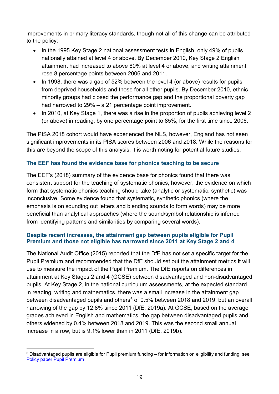improvements in primary literacy standards, though not all of this change can be attributed to the policy:

- In the 1995 Key Stage 2 national assessment tests in English, only 49% of pupils nationally attained at level 4 or above. By December 2010, Key Stage 2 English attainment had increased to above 80% at level 4 or above, and writing attainment rose 8 percentage points between 2006 and 2011.
- In 1998, there was a gap of 52% between the level 4 (or above) results for pupils from deprived households and those for all other pupils. By December 2010, ethnic minority groups had closed the performance gap and the proportional poverty gap had narrowed to 29% – a 21 percentage point improvement.
- In 2010, at Key Stage 1, there was a rise in the proportion of pupils achieving level 2 (or above) in reading, by one percentage point to 85%, for the first time since 2006.

The PISA 2018 cohort would have experienced the NLS, however, England has not seen significant improvements in its PISA scores between 2006 and 2018. While the reasons for this are beyond the scope of this analysis, it is worth noting for potential future studies.

#### **The EEF has found the evidence base for phonics teaching to be secure**

The EEF's (2018) summary of the evidence base for phonics found that there was consistent support for the teaching of systematic phonics, however, the evidence on which form that systematic phonics teaching should take (analytic or systematic, synthetic) was inconclusive. Some evidence found that systematic, synthetic phonics (where the emphasis is on sounding out letters and blending sounds to form words) may be more beneficial than analytical approaches (where the sound/symbol relationship is inferred from identifying patterns and similarities by comparing several words).

#### **Despite recent increases, the attainment gap between pupils eligible for Pupil Premium and those not eligible has narrowed since 2011 at Key Stage 2 and 4**

The National Audit Office (2015) reported that the DfE has not set a specific target for the Pupil Premium and recommended that the DfE should set out the attainment metrics it will use to measure the impact of the Pupil Premium. The DfE reports on differences in attainment at Key Stages 2 and 4 (GCSE) between disadvantaged and non-disadvantaged pupils. At Key Stage 2, in the national curriculum assessments, at the expected standard in reading, writing and mathematics, there was a small increase in the attainment gap between disadvantaged pupils and others<sup>[6](#page-22-0)</sup> of 0.5% between 2018 and 2019, but an overall narrowing of the gap by 12.8% since 2011 (DfE, 2019a). At GCSE, based on the average grades achieved in English and mathematics, the gap between disadvantaged pupils and others widened by 0.4% between 2018 and 2019. This was the second small annual increase in a row, but is 9.1% lower than in 2011 (DfE, 2019b).

<span id="page-22-0"></span> <sup>6</sup> Disadvantaged pupils are eligible for Pupil premium funding – for information on eligibility and funding, see [Policy paper Pupil Premium](https://www.gov.uk/government/publications/pupil-premium/pupil-premium)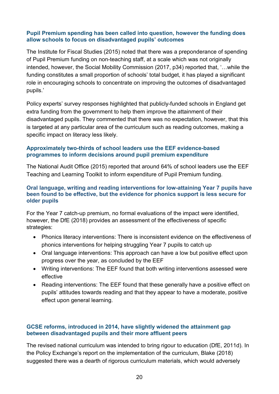#### **Pupil Premium spending has been called into question, however the funding does allow schools to focus on disadvantaged pupils' outcomes**

The Institute for Fiscal Studies (2015) noted that there was a preponderance of spending of Pupil Premium funding on non-teaching staff, at a scale which was not originally intended, however, the Social Mobility Commission (2017, p34) reported that, '…while the funding constitutes a small proportion of schools' total budget, it has played a significant role in encouraging schools to concentrate on improving the outcomes of disadvantaged pupils.'

Policy experts' survey responses highlighted that publicly-funded schools in England get extra funding from the government to help them improve the attainment of their disadvantaged pupils. They commented that there was no expectation, however, that this is targeted at any particular area of the curriculum such as reading outcomes, making a specific impact on literacy less likely.

#### **Approximately two-thirds of school leaders use the EEF evidence-based programmes to inform decisions around pupil premium expenditure**

The National Audit Office (2015) reported that around 64% of school leaders use the EEF Teaching and Learning Toolkit to inform expenditure of Pupil Premium funding.

#### **Oral language, writing and reading interventions for low-attaining Year 7 pupils have been found to be effective, but the evidence for phonics support is less secure for older pupils**

For the Year 7 catch-up premium, no formal evaluations of the impact were identified, however, the DfE (2018) provides an assessment of the effectiveness of specific strategies:

- Phonics literacy interventions: There is inconsistent evidence on the effectiveness of phonics interventions for helping struggling Year 7 pupils to catch up
- Oral language interventions: This approach can have a low but positive effect upon progress over the year, as concluded by the EEF
- Writing interventions: The EEF found that both writing interventions assessed were effective
- Reading interventions: The EEF found that these generally have a positive effect on pupils' attitudes towards reading and that they appear to have a moderate, positive effect upon general learning.

#### **GCSE reforms, introduced in 2014, have slightly widened the attainment gap between disadvantaged pupils and their more affluent peers**

The revised national curriculum was intended to bring rigour to education (DfE, 2011d). In the Policy Exchange's report on the implementation of the curriculum, Blake (2018) suggested there was a dearth of rigorous curriculum materials, which would adversely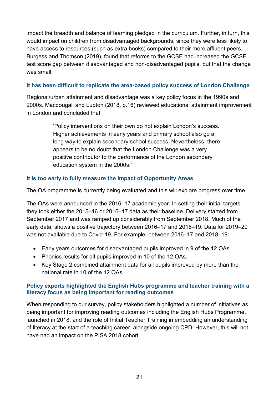impact the breadth and balance of learning pledged in the curriculum. Further, in turn, this would impact on children from disadvantaged backgrounds, since they were less likely to have access to resources (such as extra books) compared to their more affluent peers. Burgess and Thomson (2019), found that reforms to the GCSE had increased the GCSE test score gap between disadvantaged and non-disadvantaged pupils, but that the change was small

#### **It has been difficult to replicate the area-based policy success of London Challenge**

Regional/urban attainment and disadvantage was a key policy focus in the 1990s and 2000s. Macdougall and Lupton (2018, p.16) reviewed educational attainment improvement in London and concluded that

> 'Policy interventions on their own do not explain London's success. Higher achievements in early years and primary school also go a long way to explain secondary school success. Nevertheless, there appears to be no doubt that the London Challenge was a very positive contributor to the performance of the London secondary education system in the 2000s.'

#### **It is too early to fully measure the impact of Opportunity Areas**

The OA programme is currently being evaluated and this will explore progress over time.

The OAs were announced in the 2016–17 academic year. In setting their initial targets, they took either the 2015–16 or 2016–17 data as their baseline. Delivery started from September 2017 and was ramped up considerably from September 2018. Much of the early data, shows a positive trajectory between 2016–17 and 2018–19. Data for 2019–20 was not available due to Covid-19. For example, between 2016–17 and 2018–19:

- Early years outcomes for disadvantaged pupils improved in 9 of the 12 OAs.
- Phonics results for all pupils improved in 10 of the 12 OAs.
- Key Stage 2 combined attainment data for all pupils improved by more than the national rate in 10 of the 12 OAs.

#### **Policy experts highlighted the English Hubs programme and teacher training with a literacy focus as being important for reading outcomes**

When responding to our survey, policy stakeholders highlighted a number of initiatives as being important for improving reading outcomes including the English Hubs Programme, launched in 2018, and the role of Initial Teacher Training in embedding an understanding of literacy at the start of a teaching career, alongside ongoing CPD. However, this will not have had an impact on the PISA 2018 cohort.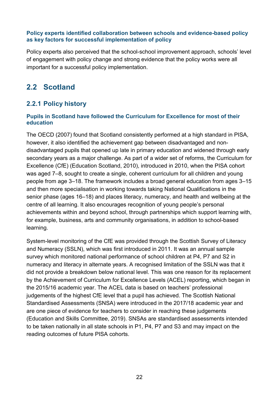#### **Policy experts identified collaboration between schools and evidence-based policy as key factors for successful implementation of policy**

Policy experts also perceived that the school-school improvement approach, schools' level of engagement with policy change and strong evidence that the policy works were all important for a successful policy implementation.

## <span id="page-25-0"></span>**2.2 Scotland**

### <span id="page-25-1"></span>**2.2.1 Policy history**

#### **Pupils in Scotland have followed the Curriculum for Excellence for most of their education**

The OECD (2007) found that Scotland consistently performed at a high standard in PISA, however, it also identified the achievement gap between disadvantaged and nondisadvantaged pupils that opened up late in primary education and widened through early secondary years as a major challenge. As part of a wider set of reforms, the Curriculum for Excellence (CfE) (Education Scotland, 2010), introduced in 2010, when the PISA cohort was aged 7–8, sought to create a single, coherent curriculum for all children and young people from age 3–18. The framework includes a broad general education from ages 3–15 and then more specialisation in working towards taking National Qualifications in the senior phase (ages 16–18) and places literacy, numeracy, and health and wellbeing at the centre of all learning. It also encourages recognition of young people's personal achievements within and beyond school, through partnerships which support learning with, for example, business, arts and community organisations, in addition to school-based learning.

System-level monitoring of the CfE was provided through the Scottish Survey of Literacy and Numeracy (SSLN), which was first introduced in 2011. It was an annual sample survey which monitored national performance of school children at P4, P7 and S2 in numeracy and literacy in alternate years. A recognised limitation of the SSLN was that it did not provide a breakdown below national level. This was one reason for its replacement by the Achievement of Curriculum for Excellence Levels (ACEL) reporting, which began in the 2015/16 academic year. The ACEL data is based on teachers' professional judgements of the highest CfE level that a pupil has achieved. The Scottish National Standardised Assessments (SNSA) were introduced in the 2017/18 academic year and are one piece of evidence for teachers to consider in reaching these judgements (Education and Skills Committee, 2019). SNSAs are standardised assessments intended to be taken nationally in all state schools in P1, P4, P7 and S3 and may impact on the reading outcomes of future PISA cohorts.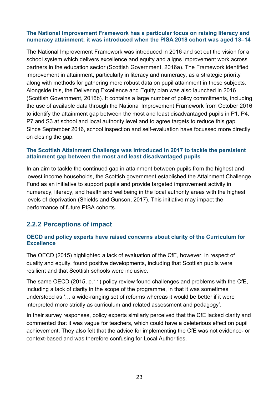#### **The National Improvement Framework has a particular focus on raising literacy and numeracy attainment; it was introduced when the PISA 2018 cohort was aged 13–14**

The National Improvement Framework was introduced in 2016 and set out the vision for a school system which delivers excellence and equity and aligns improvement work across partners in the education sector (Scottish Government, 2016a). The Framework identified improvement in attainment, particularly in literacy and numeracy, as a strategic priority along with methods for gathering more robust data on pupil attainment in these subjects. Alongside this, the Delivering Excellence and Equity plan was also launched in 2016 (Scottish Government, 2016b). It contains a large number of policy commitments, including the use of available data through the National Improvement Framework from October 2016 to identify the attainment gap between the most and least disadvantaged pupils in P1, P4, P7 and S3 at school and local authority level and to agree targets to reduce this gap. Since September 2016, school inspection and self-evaluation have focussed more directly on closing the gap.

#### **The Scottish Attainment Challenge was introduced in 2017 to tackle the persistent attainment gap between the most and least disadvantaged pupils**

In an aim to tackle the continued gap in attainment between pupils from the highest and lowest income households, the Scottish government established the Attainment Challenge Fund as an initiative to support pupils and provide targeted improvement activity in numeracy, literacy, and health and wellbeing in the local authority areas with the highest levels of deprivation (Shields and Gunson, 2017). This initiative may impact the performance of future PISA cohorts.

#### <span id="page-26-0"></span>**2.2.2 Perceptions of impact**

#### **OECD and policy experts have raised concerns about clarity of the Curriculum for Excellence**

The OECD (2015) highlighted a lack of evaluation of the CfE, however, in respect of quality and equity, found positive developments, including that Scottish pupils were resilient and that Scottish schools were inclusive.

The same OECD (2015, p.11) policy review found challenges and problems with the CfE, including a lack of clarity in the scope of the programme, in that it was sometimes understood as '… a wide-ranging set of reforms whereas it would be better if it were interpreted more strictly as curriculum and related assessment and pedagogy'.

In their survey responses, policy experts similarly perceived that the CfE lacked clarity and commented that it was vague for teachers, which could have a deleterious effect on pupil achievement. They also felt that the advice for implementing the CfE was not evidence- or context-based and was therefore confusing for Local Authorities.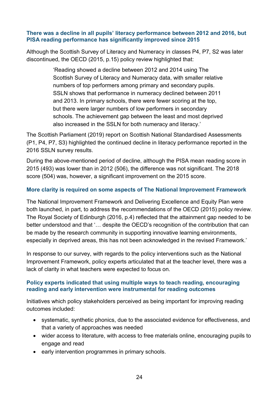#### **There was a decline in all pupils' literacy performance between 2012 and 2016, but PISA reading performance has significantly improved since 2015**

Although the Scottish Survey of Literacy and Numeracy in classes P4, P7, S2 was later discontinued, the OECD (2015, p.15) policy review highlighted that:

> 'Reading showed a decline between 2012 and 2014 using The Scottish Survey of Literacy and Numeracy data, with smaller relative numbers of top performers among primary and secondary pupils. SSLN shows that performance in numeracy declined between 2011 and 2013. In primary schools, there were fewer scoring at the top, but there were larger numbers of low performers in secondary schools. The achievement gap between the least and most deprived also increased in the SSLN for both numeracy and literacy.'

The Scottish Parliament (2019) report on Scottish National Standardised Assessments (P1, P4, P7, S3) highlighted the continued decline in literacy performance reported in the 2016 SSLN survey results.

During the above-mentioned period of decline, although the PISA mean reading score in 2015 (493) was lower than in 2012 (506), the difference was not significant. The 2018 score (504) was, however, a significant improvement on the 2015 score.

#### **More clarity is required on some aspects of The National Improvement Framework**

The National Improvement Framework and Delivering Excellence and Equity Plan were both launched, in part, to address the recommendations of the OECD (2015) policy review. The Royal Society of Edinburgh (2016, p.4) reflected that the attainment gap needed to be better understood and that '… despite the OECD's recognition of the contribution that can be made by the research community in supporting innovative learning environments, especially in deprived areas, this has not been acknowledged in the revised Framework.'

In response to our survey, with regards to the policy interventions such as the National Improvement Framework, policy experts articulated that at the teacher level, there was a lack of clarity in what teachers were expected to focus on.

#### **Policy experts indicated that using multiple ways to teach reading, encouraging reading and early intervention were instrumental for reading outcomes**

Initiatives which policy stakeholders perceived as being important for improving reading outcomes included:

- systematic, synthetic phonics, due to the associated evidence for effectiveness, and that a variety of approaches was needed
- wider access to literature, with access to free materials online, encouraging pupils to engage and read
- early intervention programmes in primary schools.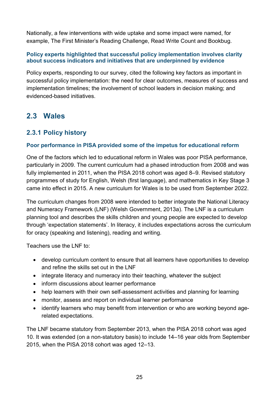Nationally, a few interventions with wide uptake and some impact were named, for example, The First Minister's Reading Challenge, Read Write Count and Bookbug.

#### **Policy experts highlighted that successful policy implementation involves clarity about success indicators and initiatives that are underpinned by evidence**

Policy experts, responding to our survey, cited the following key factors as important in successful policy implementation: the need for clear outcomes, measures of success and implementation timelines; the involvement of school leaders in decision making; and evidenced-based initiatives.

## <span id="page-28-0"></span>**2.3 Wales**

## <span id="page-28-1"></span>**2.3.1 Policy history**

#### **Poor performance in PISA provided some of the impetus for educational reform**

One of the factors which led to educational reform in Wales was poor PISA performance, particularly in 2009. The current curriculum had a phased introduction from 2008 and was fully implemented in 2011, when the PISA 2018 cohort was aged 8–9. Revised statutory programmes of study for English, Welsh (first language), and mathematics in Key Stage 3 came into effect in 2015. A new curriculum for Wales is to be used from September 2022.

The curriculum changes from 2008 were intended to better integrate the National Literacy and Numeracy Framework (LNF) (Welsh Government, 2013a). The LNF is a curriculum planning tool and describes the skills children and young people are expected to develop through 'expectation statements'. In literacy, it includes expectations across the curriculum for oracy (speaking and listening), reading and writing.

Teachers use the LNF to:

- develop curriculum content to ensure that all learners have opportunities to develop and refine the skills set out in the LNF
- integrate literacy and numeracy into their teaching, whatever the subject
- inform discussions about learner performance
- help learners with their own self-assessment activities and planning for learning
- monitor, assess and report on individual learner performance
- identify learners who may benefit from intervention or who are working beyond agerelated expectations.

The LNF became statutory from September 2013, when the PISA 2018 cohort was aged 10. It was extended (on a non-statutory basis) to include 14–16 year olds from September 2015, when the PISA 2018 cohort was aged 12–13.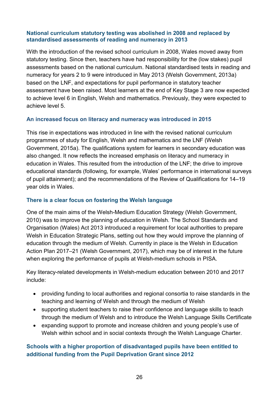#### **National curriculum statutory testing was abolished in 2008 and replaced by standardised assessments of reading and numeracy in 2013**

With the introduction of the revised school curriculum in 2008, Wales moved away from statutory testing. Since then, teachers have had responsibility for the (low stakes) pupil assessments based on the national curriculum. National standardised tests in reading and numeracy for years 2 to 9 were introduced in May 2013 (Welsh Government, 2013a) based on the LNF, and expectations for pupil performance in statutory teacher assessment have been raised. Most learners at the end of Key Stage 3 are now expected to achieve level 6 in English, Welsh and mathematics. Previously, they were expected to achieve level 5.

#### **An increased focus on literacy and numeracy was introduced in 2015**

This rise in expectations was introduced in line with the revised national curriculum programmes of study for English, Welsh and mathematics and the LNF (Welsh Government, 2015a). The qualifications system for learners in secondary education was also changed. It now reflects the increased emphasis on literacy and numeracy in education in Wales. This resulted from the introduction of the LNF; the drive to improve educational standards (following, for example, Wales' performance in international surveys of pupil attainment); and the recommendations of the Review of Qualifications for 14–19 year olds in Wales.

#### **There is a clear focus on fostering the Welsh language**

One of the main aims of the Welsh-Medium Education Strategy (Welsh Government, 2010) was to improve the planning of education in Welsh. The School Standards and Organisation (Wales) Act 2013 introduced a requirement for local authorities to prepare Welsh in Education Strategic Plans, setting out how they would improve the planning of education through the medium of Welsh. Currently in place is the Welsh in Education Action Plan 2017–21 (Welsh Government, 2017), which may be of interest in the future when exploring the performance of pupils at Welsh-medium schools in PISA.

Key literacy-related developments in Welsh-medium education between 2010 and 2017 include:

- providing funding to local authorities and regional consortia to raise standards in the teaching and learning of Welsh and through the medium of Welsh
- supporting student teachers to raise their confidence and language skills to teach through the medium of Welsh and to introduce the Welsh Language Skills Certificate
- expanding support to promote and increase children and young people's use of Welsh within school and in social contexts through the Welsh Language Charter.

#### **Schools with a higher proportion of disadvantaged pupils have been entitled to additional funding from the Pupil Deprivation Grant since 2012**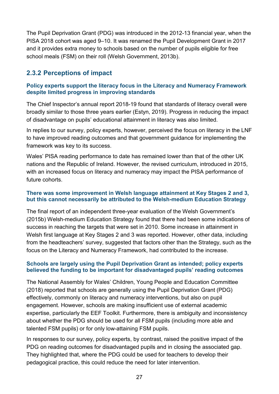The Pupil Deprivation Grant (PDG) was introduced in the 2012-13 financial year, when the PISA 2018 cohort was aged 9–10. It was renamed the Pupil Development Grant in 2017 and it provides extra money to schools based on the number of pupils eligible for free school meals (FSM) on their roll (Welsh Government, 2013b).

### <span id="page-30-0"></span>**2.3.2 Perceptions of impact**

#### **Policy experts support the literacy focus in the Literacy and Numeracy Framework despite limited progress in improving standards**

The Chief Inspector's annual report 2018-19 found that standards of literacy overall were broadly similar to those three years earlier (Estyn, 2019). Progress in reducing the impact of disadvantage on pupils' educational attainment in literacy was also limited.

In replies to our survey, policy experts, however, perceived the focus on literacy in the LNF to have improved reading outcomes and that government guidance for implementing the framework was key to its success.

Wales' PISA reading performance to date has remained lower than that of the other UK nations and the Republic of Ireland. However, the revised curriculum, introduced in 2015, with an increased focus on literacy and numeracy may impact the PISA performance of future cohorts.

#### **There was some improvement in Welsh language attainment at Key Stages 2 and 3, but this cannot necessarily be attributed to the Welsh-medium Education Strategy**

The final report of an independent three-year evaluation of the Welsh Government's (2015b) Welsh-medium Education Strategy found that there had been some indications of success in reaching the targets that were set in 2010. Some increase in attainment in Welsh first language at Key Stages 2 and 3 was reported. However, other data, including from the headteachers' survey, suggested that factors other than the Strategy, such as the focus on the Literacy and Numeracy Framework, had contributed to the increase.

#### **Schools are largely using the Pupil Deprivation Grant as intended; policy experts believed the funding to be important for disadvantaged pupils' reading outcomes**

The National Assembly for Wales' Children, Young People and Education Committee (2018) reported that schools are generally using the Pupil Deprivation Grant (PDG) effectively, commonly on literacy and numeracy interventions, but also on pupil engagement. However, schools are making insufficient use of external academic expertise, particularly the EEF Toolkit. Furthermore, there is ambiguity and inconsistency about whether the PDG should be used for all FSM pupils (including more able and talented FSM pupils) or for only low-attaining FSM pupils.

In responses to our survey, policy experts, by contrast, raised the positive impact of the PDG on reading outcomes for disadvantaged pupils and in closing the associated gap. They highlighted that, where the PDG could be used for teachers to develop their pedagogical practice, this could reduce the need for later intervention.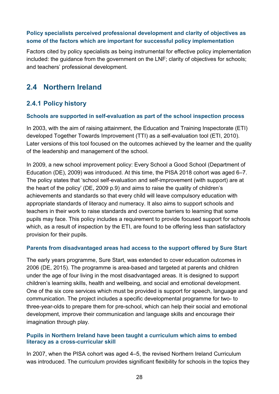#### **Policy specialists perceived professional development and clarity of objectives as some of the factors which are important for successful policy implementation**

Factors cited by policy specialists as being instrumental for effective policy implementation included: the guidance from the government on the LNF; clarity of objectives for schools; and teachers' professional development.

## <span id="page-31-0"></span>**2.4 Northern Ireland**

### <span id="page-31-1"></span>**2.4.1 Policy history**

#### **Schools are supported in self-evaluation as part of the school inspection process**

In 2003, with the aim of raising attainment, the Education and Training Inspectorate (ETI) developed Together Towards Improvement (TTI) as a self-evaluation tool (ETI, 2010). Later versions of this tool focused on the outcomes achieved by the learner and the quality of the leadership and management of the school.

In 2009, a new school improvement policy: Every School a Good School (Department of Education (DE), 2009) was introduced. At this time, the PISA 2018 cohort was aged 6–7. The policy states that 'school self-evaluation and self-improvement (with support) are at the heart of the policy' (DE, 2009 p.9) and aims to raise the quality of children's achievements and standards so that every child will leave compulsory education with appropriate standards of literacy and numeracy. It also aims to support schools and teachers in their work to raise standards and overcome barriers to learning that some pupils may face. This policy includes a requirement to provide focused support for schools which, as a result of inspection by the ETI, are found to be offering less than satisfactory provision for their pupils.

#### **Parents from disadvantaged areas had access to the support offered by Sure Start**

The early years programme, Sure Start, was extended to cover education outcomes in 2006 (DE, 2015). The programme is area-based and targeted at parents and children under the age of four living in the most disadvantaged areas. It is designed to support children's learning skills, health and wellbeing, and social and emotional development. One of the six core services which must be provided is support for speech, language and communication. The project includes a specific developmental programme for two- to three-year-olds to prepare them for pre-school, which can help their social and emotional development, improve their communication and language skills and encourage their imagination through play.

#### **Pupils in Northern Ireland have been taught a curriculum which aims to embed literacy as a cross-curricular skill**

In 2007, when the PISA cohort was aged 4–5, the revised Northern Ireland Curriculum was introduced. The curriculum provides significant flexibility for schools in the topics they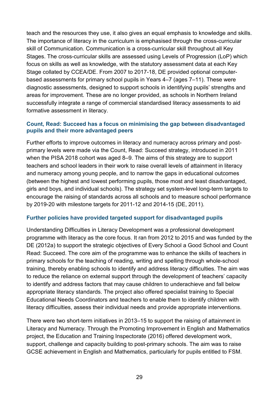teach and the resources they use, it also gives an equal emphasis to knowledge and skills. The importance of literacy in the curriculum is emphasised through the cross-curricular skill of Communication. Communication is a cross-curricular skill throughout all Key Stages. The cross-curricular skills are assessed using Levels of Progression (LoP) which focus on skills as well as knowledge, with the statutory assessment data at each Key Stage collated by CCEA/DE. From 2007 to 2017-18, DE provided optional computerbased assessments for primary school pupils in Years 4–7 (ages 7–11). These were diagnostic assessments, designed to support schools in identifying pupils' strengths and areas for improvement. These are no longer provided, as schools in Northern Ireland successfully integrate a range of commercial standardised literacy assessments to aid formative assessment in literacy.

#### **Count, Read: Succeed has a focus on minimising the gap between disadvantaged pupils and their more advantaged peers**

Further efforts to improve outcomes in literacy and numeracy across primary and postprimary levels were made via the Count, Read: Succeed strategy, introduced in 2011 when the PISA 2018 cohort was aged 8–9. The aims of this strategy are to support teachers and school leaders in their work to raise overall levels of attainment in literacy and numeracy among young people, and to narrow the gaps in educational outcomes (between the highest and lowest performing pupils, those most and least disadvantaged, girls and boys, and individual schools). The strategy set system-level long-term targets to encourage the raising of standards across all schools and to measure school performance by 2019-20 with milestone targets for 2011-12 and 2014-15 (DE, 2011).

#### **Further policies have provided targeted support for disadvantaged pupils**

Understanding Difficulties in Literacy Development was a professional development programme with literacy as the core focus. It ran from 2012 to 2015 and was funded by the DE (2012a) to support the strategic objectives of Every School a Good School and Count Read: Succeed. The core aim of the programme was to enhance the skills of teachers in primary schools for the teaching of reading, writing and spelling through whole-school training, thereby enabling schools to identify and address literacy difficulties. The aim was to reduce the reliance on external support through the development of teachers' capacity to identify and address factors that may cause children to underachieve and fall below appropriate literacy standards. The project also offered specialist training to Special Educational Needs Coordinators and teachers to enable them to identify children with literacy difficulties, assess their individual needs and provide appropriate interventions.

There were two short-term initiatives in 2013–15 to support the raising of attainment in Literacy and Numeracy. Through the Promoting Improvement in English and Mathematics project, the Education and Training Inspectorate (2016) offered development work, support, challenge and capacity building to post-primary schools. The aim was to raise GCSE achievement in English and Mathematics, particularly for pupils entitled to FSM.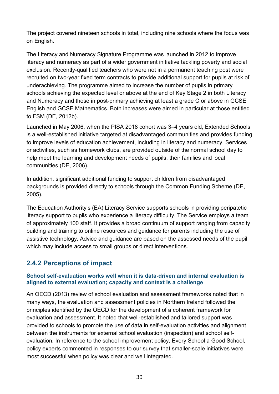The project covered nineteen schools in total, including nine schools where the focus was on English.

The Literacy and Numeracy Signature Programme was launched in 2012 to improve literacy and numeracy as part of a wider government initiative tackling poverty and social exclusion. Recently-qualified teachers who were not in a permanent teaching post were recruited on two-year fixed term contracts to provide additional support for pupils at risk of underachieving. The programme aimed to increase the number of pupils in primary schools achieving the expected level or above at the end of Key Stage 2 in both Literacy and Numeracy and those in post-primary achieving at least a grade C or above in GCSE English and GCSE Mathematics. Both increases were aimed in particular at those entitled to FSM (DE, 2012b).

Launched in May 2006, when the PISA 2018 cohort was 3–4 years old, Extended Schools is a well-established initiative targeted at disadvantaged communities and provides funding to improve levels of education achievement, including in literacy and numeracy. Services or activities, such as homework clubs, are provided outside of the normal school day to help meet the learning and development needs of pupils, their families and local communities (DE, 2006).

In addition, significant additional funding to support children from disadvantaged backgrounds is provided directly to schools through the Common Funding Scheme (DE, 2005).

The Education Authority's (EA) Literacy Service supports schools in providing peripatetic literacy support to pupils who experience a literacy difficulty. The Service employs a team of approximately 100 staff. It provides a broad continuum of support ranging from capacity building and training to online resources and guidance for parents including the use of assistive technology. Advice and guidance are based on the assessed needs of the pupil which may include access to small groups or direct interventions.

## <span id="page-33-0"></span>**2.4.2 Perceptions of impact**

#### **School self-evaluation works well when it is data-driven and internal evaluation is aligned to external evaluation; capacity and context is a challenge**

An OECD (2013) review of school evaluation and assessment frameworks noted that in many ways, the evaluation and assessment policies in Northern Ireland followed the principles identified by the OECD for the development of a coherent framework for evaluation and assessment. It noted that well-established and tailored support was provided to schools to promote the use of data in self-evaluation activities and alignment between the instruments for external school evaluation (inspection) and school selfevaluation*.* In reference to the school improvement policy, Every School a Good School, policy experts commented in responses to our survey that smaller-scale initiatives were most successful when policy was clear and well integrated.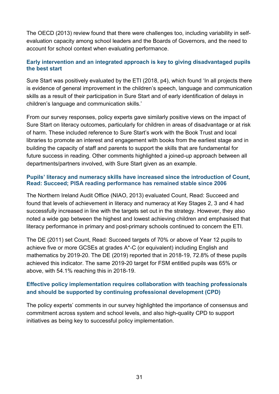The OECD (2013) review found that there were challenges too, including variability in selfevaluation capacity among school leaders and the Boards of Governors, and the need to account for school context when evaluating performance.

#### **Early intervention and an integrated approach is key to giving disadvantaged pupils the best start**

Sure Start was positively evaluated by the ETI (2018, p4), which found 'In all projects there is evidence of general improvement in the children's speech, language and communication skills as a result of their participation in Sure Start and of early identification of delays in children's language and communication skills.'

From our survey responses, policy experts gave similarly positive views on the impact of Sure Start on literacy outcomes, particularly for children in areas of disadvantage or at risk of harm. These included reference to Sure Start's work with the Book Trust and local libraries to promote an interest and engagement with books from the earliest stage and in building the capacity of staff and parents to support the skills that are fundamental for future success in reading. Other comments highlighted a joined-up approach between all departments/partners involved, with Sure Start given as an example.

#### **Pupils' literacy and numeracy skills have increased since the introduction of Count, Read: Succeed; PISA reading performance has remained stable since 2006**

The Northern Ireland Audit Office (NIAO, 2013) evaluated Count, Read: Succeed and found that levels of achievement in literacy and numeracy at Key Stages 2, 3 and 4 had successfully increased in line with the targets set out in the strategy. However, they also noted a wide gap between the highest and lowest achieving children and emphasised that literacy performance in primary and post-primary schools continued to concern the ETI.

The DE (2011) set Count, Read: Succeed targets of 70% or above of Year 12 pupils to achieve five or more GCSEs at grades A\*-C (or equivalent) including English and mathematics by 2019-20. The DE (2019) reported that in 2018-19, 72.8% of these pupils achieved this indicator. The same 2019-20 target for FSM entitled pupils was 65% or above, with 54.1% reaching this in 2018-19.

#### **Effective policy implementation requires collaboration with teaching professionals and should be supported by continuing professional development (CPD)**

The policy experts' comments in our survey highlighted the importance of consensus and commitment across system and school levels, and also high-quality CPD to support initiatives as being key to successful policy implementation.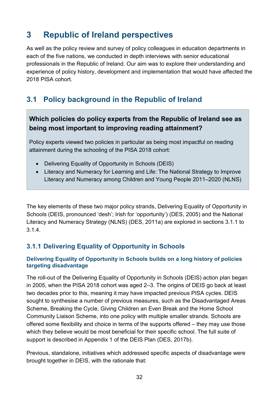## <span id="page-35-0"></span>**3 Republic of Ireland perspectives**

As well as the policy review and survey of policy colleagues in education departments in each of the five nations, we conducted in depth interviews with senior educational professionals in the Republic of Ireland. Our aim was to explore their understanding and experience of policy history, development and implementation that would have affected the 2018 PISA cohort.

## <span id="page-35-1"></span>**3.1 Policy background in the Republic of Ireland**

### **Which policies do policy experts from the Republic of Ireland see as being most important to improving reading attainment?**

Policy experts viewed two policies in particular as being most impactful on reading attainment during the schooling of the PISA 2018 cohort:

- Delivering Equality of Opportunity in Schools (DEIS)
- Literacy and Numeracy for Learning and Life: The National Strategy to Improve Literacy and Numeracy among Children and Young People 2011–2020 (NLNS)

The key elements of these two major policy strands, Delivering Equality of Opportunity in Schools (DEIS, pronounced 'desh'; Irish for 'opportunity') (DES, 2005) and the National Literacy and Numeracy Strategy (NLNS) (DES, 2011a) are explored in sections 3.1.1 to 3.1.4.

### <span id="page-35-2"></span>**3.1.1 Delivering Equality of Opportunity in Schools**

#### **Delivering Equality of Opportunity in Schools builds on a long history of policies targeting disadvantage**

The roll-out of the Delivering Equality of Opportunity in Schools (DEIS) action plan began in 2005, when the PISA 2018 cohort was aged 2–3. The origins of DEIS go back at least two decades prior to this, meaning it may have impacted previous PISA cycles. DEIS sought to synthesise a number of previous measures, such as the Disadvantaged Areas Scheme, Breaking the Cycle, Giving Children an Even Break and the Home School Community Liaison Scheme, into one policy with multiple smaller strands. Schools are offered some flexibility and choice in terms of the supports offered – they may use those which they believe would be most beneficial for their specific school. The full suite of support is described in Appendix 1 of the DEIS Plan (DES, 2017b).

Previous, standalone, initiatives which addressed specific aspects of disadvantage were brought together in DEIS, with the rationale that: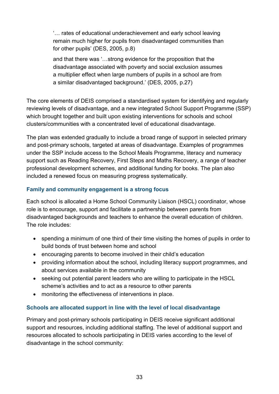'… rates of educational underachievement and early school leaving remain much higher for pupils from disadvantaged communities than for other pupils' (DES, 2005, p.8)

and that there was '…strong evidence for the proposition that the disadvantage associated with poverty and social exclusion assumes a multiplier effect when large numbers of pupils in a school are from a similar disadvantaged background.' (DES, 2005, p.27)

The core elements of DEIS comprised a standardised system for identifying and regularly reviewing levels of disadvantage, and a new integrated School Support Programme (SSP) which brought together and built upon existing interventions for schools and school clusters/communities with a concentrated level of educational disadvantage.

The plan was extended gradually to include a broad range of support in selected primary and post-primary schools, targeted at areas of disadvantage. Examples of programmes under the SSP include access to the School Meals Programme, literacy and numeracy support such as Reading Recovery, First Steps and Maths Recovery, a range of teacher professional development schemes, and additional funding for books. The plan also included a renewed focus on measuring progress systematically.

### **Family and community engagement is a strong focus**

Each school is allocated a Home School Community Liaison (HSCL) coordinator, whose role is to encourage, support and facilitate a partnership between parents from disadvantaged backgrounds and teachers to enhance the overall education of children. The role includes:

- spending a minimum of one third of their time visiting the homes of pupils in order to build bonds of trust between home and school
- encouraging parents to become involved in their child's education
- providing information about the school, including literacy support programmes, and about services available in the community
- seeking out potential parent leaders who are willing to participate in the HSCL scheme's activities and to act as a resource to other parents
- monitoring the effectiveness of interventions in place.

#### **Schools are allocated support in line with the level of local disadvantage**

Primary and post-primary schools participating in DEIS receive significant additional support and resources, including additional staffing. The level of additional support and resources allocated to schools participating in DEIS varies according to the level of disadvantage in the school community: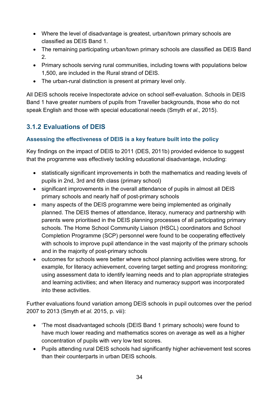- Where the level of disadvantage is greatest, urban/town primary schools are classified as DEIS Band 1.
- The remaining participating urban/town primary schools are classified as DEIS Band 2.
- Primary schools serving rural communities, including towns with populations below 1,500, are included in the Rural strand of DEIS.
- The urban-rural distinction is present at primary level only.

All DEIS schools receive Inspectorate advice on school self-evaluation. Schools in DEIS Band 1 have greater numbers of pupils from Traveller backgrounds, those who do not speak English and those with special educational needs (Smyth *et al*., 2015).

# **3.1.2 Evaluations of DEIS**

### **Assessing the effectiveness of DEIS is a key feature built into the policy**

Key findings on the impact of DEIS to 2011 (DES, 2011b) provided evidence to suggest that the programme was effectively tackling educational disadvantage, including:

- statistically significant improvements in both the mathematics and reading levels of pupils in 2nd, 3rd and 6th class (primary school)
- significant improvements in the overall attendance of pupils in almost all DEIS primary schools and nearly half of post-primary schools
- many aspects of the DEIS programme were being implemented as originally planned. The DEIS themes of attendance, literacy, numeracy and partnership with parents were prioritised in the DEIS planning processes of all participating primary schools. The Home School Community Liaison (HSCL) coordinators and School Completion Programme (SCP) personnel were found to be cooperating effectively with schools to improve pupil attendance in the vast majority of the primary schools and in the majority of post-primary schools
- outcomes for schools were better where school planning activities were strong, for example, for literacy achievement, covering target setting and progress monitoring; using assessment data to identify learning needs and to plan appropriate strategies and learning activities; and when literacy and numeracy support was incorporated into these activities.

Further evaluations found variation among DEIS schools in pupil outcomes over the period 2007 to 2013 (Smyth *et al.* 2015, p. viii):

- 'The most disadvantaged schools (DEIS Band 1 primary schools) were found to have much lower reading and mathematics scores on average as well as a higher concentration of pupils with very low test scores.
- Pupils attending rural DEIS schools had significantly higher achievement test scores than their counterparts in urban DEIS schools.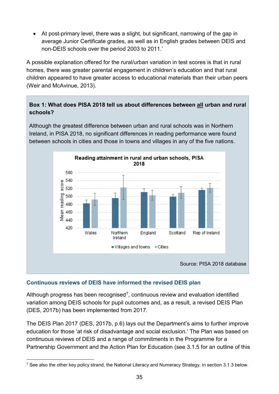• At post-primary level, there was a slight, but significant, narrowing of the gap in average Junior Certificate grades, as well as in English grades between DEIS and non-DEIS schools over the period 2003 to 2011.'

A possible explanation offered for the rural/urban variation in test scores is that in rural homes, there was greater parental engagement in children's education and that rural children appeared to have greater access to educational materials than their urban peers (Weir and McAvinue, 2013).

### **Box 1: What does PISA 2018 tell us about differences between all urban and rural schools?**

Although the greatest difference between urban and rural schools was in Northern Ireland, in PISA 2018, no significant differences in reading performance were found between schools in cities and those in towns and villages in any of the five nations.



### **Continuous reviews of DEIS have informed the revised DEIS plan**

Although progress has been recognised<sup>7</sup>, continuous review and evaluation identified variation among DEIS schools for pupil outcomes and, as a result, a revised DEIS Plan (DES, 2017b) has been implemented from 2017.

The DEIS Plan 2017 (DES, 2017b, p.6) lays out the Department's aims to further improve education for those 'at risk of disadvantage and social exclusion.' The Plan was based on continuous reviews of DEIS and a range of commitments in the Programme for a Partnership Government and the Action Plan for Education (see 3.1.5 for an outline of this

<span id="page-38-0"></span> <sup>7</sup> See also the other key policy strand, the National Literacy and Numeracy Strategy, in section 3.1.3 below.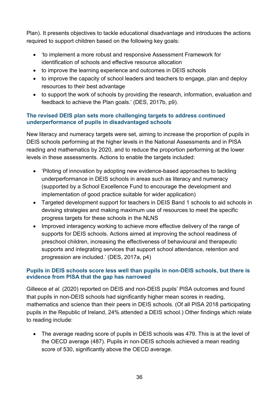Plan). It presents objectives to tackle educational disadvantage and introduces the actions required to support children based on the following key goals:

- 'to implement a more robust and responsive Assessment Framework for identification of schools and effective resource allocation
- to improve the learning experience and outcomes in DEIS schools
- to improve the capacity of school leaders and teachers to engage, plan and deploy resources to their best advantage
- to support the work of schools by providing the research, information, evaluation and feedback to achieve the Plan goals.' (DES, 2017b, p9).

### **The revised DEIS plan sets more challenging targets to address continued underperformance of pupils in disadvantaged schools**

New literacy and numeracy targets were set, aiming to increase the proportion of pupils in DEIS schools performing at the higher levels in the National Assessments and in PISA reading and mathematics by 2020, and to reduce the proportion performing at the lower levels in these assessments. Actions to enable the targets included:

- 'Piloting of innovation by adopting new evidence-based approaches to tackling underperformance in DEIS schools in areas such as literacy and numeracy (supported by a School Excellence Fund to encourage the development and implementation of good practice suitable for wider application)
- Targeted development support for teachers in DEIS Band 1 schools to aid schools in devising strategies and making maximum use of resources to meet the specific progress targets for these schools in the NLNS
- Improved interagency working to achieve more effective delivery of the range of supports for DEIS schools. Actions aimed at improving the school readiness of preschool children, increasing the effectiveness of behavioural and therapeutic supports and integrating services that support school attendance, retention and progression are included.' (DES, 2017a, p4)

### **Pupils in DEIS schools score less well than pupils in non-DEIS schools, but there is evidence from PISA that the gap has narrowed**

Gilleece *et al.* (2020) reported on DEIS and non-DEIS pupils' PISA outcomes and found that pupils in non-DEIS schools had significantly higher mean scores in reading, mathematics and science than their peers in DEIS schools. (Of all PISA 2018 participating pupils in the Republic of Ireland, 24% attended a DEIS school.) Other findings which relate to reading include:

• The average reading score of pupils in DEIS schools was 479. This is at the level of the OECD average (487). Pupils in non-DEIS schools achieved a mean reading score of 530, significantly above the OECD average.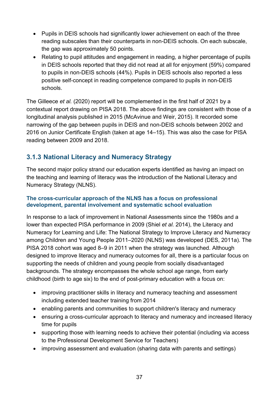- Pupils in DEIS schools had significantly lower achievement on each of the three reading subscales than their counterparts in non-DEIS schools. On each subscale, the gap was approximately 50 points.
- Relating to pupil attitudes and engagement in reading, a higher percentage of pupils in DEIS schools reported that they did not read at all for enjoyment (59%) compared to pupils in non-DEIS schools (44%). Pupils in DEIS schools also reported a less positive self-concept in reading competence compared to pupils in non-DEIS schools.

The Gilleece *et al.* (2020) report will be complemented in the first half of 2021 by a contextual report drawing on PISA 2018. The above findings are consistent with those of a longitudinal analysis published in 2015 (McAvinue and Weir, 2015). It recorded some narrowing of the gap between pupils in DEIS and non-DEIS schools between 2002 and 2016 on Junior Certificate English (taken at age 14–15). This was also the case for PISA reading between 2009 and 2018.

# **3.1.3 National Literacy and Numeracy Strategy**

The second major policy strand our education experts identified as having an impact on the teaching and learning of literacy was the introduction of the National Literacy and Numeracy Strategy (NLNS).

### **The cross-curricular approach of the NLNS has a focus on professional development, parental involvement and systematic school evaluation**

In response to a lack of improvement in National Assessments since the 1980s and a lower than expected PISA performance in 2009 (Shiel *et al.* 2014), the Literacy and Numeracy for Learning and Life: The National Strategy to Improve Literacy and Numeracy among Children and Young People 2011–2020 (NLNS) was developed (DES, 2011a). The PISA 2018 cohort was aged 8–9 in 2011 when the strategy was launched. Although designed to improve literacy and numeracy outcomes for all, there is a particular focus on supporting the needs of children and young people from socially disadvantaged backgrounds. The strategy encompasses the whole school age range, from early childhood (birth to age six) to the end of post-primary education with a focus on:

- improving practitioner skills in literacy and numeracy teaching and assessment including extended teacher training from 2014
- enabling parents and communities to support children's literacy and numeracy
- ensuring a cross-curricular approach to literacy and numeracy and increased literacy time for pupils
- supporting those with learning needs to achieve their potential (including via access to the Professional Development Service for Teachers)
- improving assessment and evaluation (sharing data with parents and settings)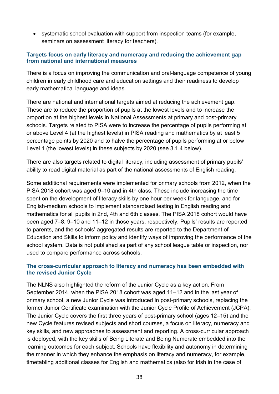• systematic school evaluation with support from inspection teams (for example, seminars on assessment literacy for teachers).

### **Targets focus on early literacy and numeracy and reducing the achievement gap from national and international measures**

There is a focus on improving the communication and oral-language competence of young children in early childhood care and education settings and their readiness to develop early mathematical language and ideas.

There are national and international targets aimed at reducing the achievement gap. These are to reduce the proportion of pupils at the lowest levels and to increase the proportion at the highest levels in National Assessments at primary and post-primary schools. Targets related to PISA were to increase the percentage of pupils performing at or above Level 4 (at the highest levels) in PISA reading and mathematics by at least 5 percentage points by 2020 and to halve the percentage of pupils performing at or below Level 1 (the lowest levels) in these subjects by 2020 (see 3.1.4 below).

There are also targets related to digital literacy, including assessment of primary pupils' ability to read digital material as part of the national assessments of English reading.

Some additional requirements were implemented for primary schools from 2012, when the PISA 2018 cohort was aged 9–10 and in 4th class. These include increasing the time spent on the development of literacy skills by one hour per week for language, and for English-medium schools to implement standardised testing in English reading and mathematics for all pupils in 2nd, 4th and 6th classes. The PISA 2018 cohort would have been aged 7–8, 9–10 and 11–12 in those years, respectively. Pupils' results are reported to parents, and the schools' aggregated results are reported to the Department of Education and Skills to inform policy and identify ways of improving the performance of the school system. Data is not published as part of any school league table or inspection, nor used to compare performance across schools.

#### **The cross-curricular approach to literacy and numeracy has been embedded with the revised Junior Cycle**

The NLNS also highlighted the reform of the Junior Cycle as a key action. From September 2014, when the PISA 2018 cohort was aged 11–12 and in the last year of primary school, a new Junior Cycle was introduced in post-primary schools, replacing the former Junior Certificate examination with the Junior Cycle Profile of Achievement (JCPA). The Junior Cycle covers the first three years of post-primary school (ages 12–15) and the new Cycle features revised subjects and short courses, a focus on literacy, numeracy and key skills, and new approaches to assessment and reporting. A cross-curricular approach is deployed, with the key skills of Being Literate and Being Numerate embedded into the learning outcomes for each subject. Schools have flexibility and autonomy in determining the manner in which they enhance the emphasis on literacy and numeracy, for example, timetabling additional classes for English and mathematics (also for Irish in the case of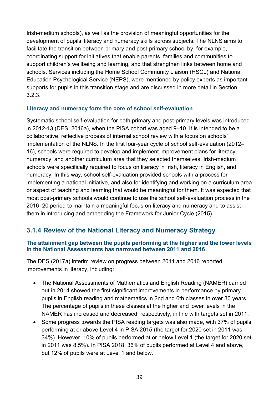Irish-medium schools), as well as the provision of meaningful opportunities for the development of pupils' literacy and numeracy skills across subjects. The NLNS aims to facilitate the transition between primary and post-primary school by, for example, coordinating support for initiatives that enable parents, families and communities to support children's wellbeing and learning, and that strengthen links between home and schools. Services including the Home School Community Liaison (HSCL) and National Education Psychological Service (NEPS), were mentioned by policy experts as important supports for pupils in this transition stage and are discussed in more detail in Section 3.2.3.

### **Literacy and numeracy form the core of school self-evaluation**

Systematic school self-evaluation for both primary and post-primary levels was introduced in 2012-13 (DES, 2016a), when the PISA cohort was aged 9–10. It is intended to be a collaborative, reflective process of internal school review with a focus on schools' implementation of the NLNS. In the first four-year cycle of school self-evaluation (2012– 16), schools were required to develop and implement improvement plans for literacy, numeracy, and another curriculum area that they selected themselves. Irish-medium schools were specifically required to focus on literacy in Irish, literacy in English, and numeracy. In this way, school self-evaluation provided schools with a process for implementing a national initiative, and also for identifying and working on a curriculum area or aspect of teaching and learning that would be meaningful for them. It was expected that most post-primary schools would continue to use the school self-evaluation process in the 2016–20 period to maintain a meaningful focus on literacy and numeracy and to assist them in introducing and embedding the Framework for Junior Cycle (2015).

# **3.1.4 Review of the National Literacy and Numeracy Strategy**

#### **The attainment gap between the pupils performing at the higher and the lower levels in the National Assessments has narrowed between 2011 and 2016**

The DES (2017a) interim review on progress between 2011 and 2016 reported improvements in literacy, including:

- The National Assessments of Mathematics and English Reading (NAMER) carried out in 2014 showed the first significant improvements in performance by primary pupils in English reading and mathematics in 2nd and 6th classes in over 30 years. The percentage of pupils in these classes at the higher and lower levels in the NAMER has increased and decreased, respectively, in line with targets set in 2011.
- Some progress towards the PISA reading targets was also made, with 37% of pupils performing at or above Level 4 in PISA 2015 (the target for 2020 set in 2011 was 34%). However, 10% of pupils performed at or below Level 1 (the target for 2020 set in 2011 was 8.5%). In PISA 2018, 36% of pupils performed at Level 4 and above, but 12% of pupils were at Level 1 and below.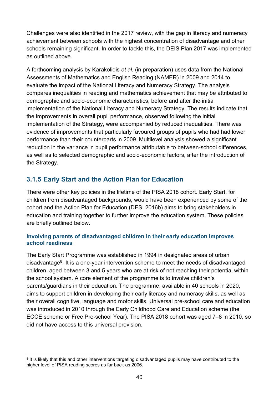Challenges were also identified in the 2017 review, with the gap in literacy and numeracy achievement between schools with the highest concentration of disadvantage and other schools remaining significant. In order to tackle this, the DEIS Plan 2017 was implemented as outlined above.

A forthcoming analysis by Karakolidis *et al.* (in preparation) uses data from the National Assessments of Mathematics and English Reading (NAMER) in 2009 and 2014 to evaluate the impact of the National Literacy and Numeracy Strategy. The analysis compares inequalities in reading and mathematics achievement that may be attributed to demographic and socio-economic characteristics, before and after the initial implementation of the National Literacy and Numeracy Strategy. The results indicate that the improvements in overall pupil performance, observed following the initial implementation of the Strategy, were accompanied by reduced inequalities. There was evidence of improvements that particularly favoured groups of pupils who had had lower performance than their counterparts in 2009. Multilevel analysis showed a significant reduction in the variance in pupil performance attributable to between-school differences, as well as to selected demographic and socio-economic factors, after the introduction of the Strategy.

## **3.1.5 Early Start and the Action Plan for Education**

There were other key policies in the lifetime of the PISA 2018 cohort. Early Start, for children from disadvantaged backgrounds, would have been experienced by some of the cohort and the Action Plan for Education (DES, 2016b) aims to bring stakeholders in education and training together to further improve the education system. These policies are briefly outlined below.

#### **Involving parents of disadvantaged children in their early education improves school readiness**

The Early Start Programme was established in 1994 in designated areas of urban disadvantage<sup>8</sup>. It is a one-year intervention scheme to meet the needs of disadvantaged children, aged between 3 and 5 years who are at risk of not reaching their potential within the school system. A core element of the programme is to involve children's parents/guardians in their education. The programme, available in 40 schools in 2020, aims to support children in developing their early literacy and numeracy skills, as well as their overall cognitive, language and motor skills. Universal pre-school care and education was introduced in 2010 through the Early Childhood Care and Education scheme (the ECCE scheme or Free Pre-school Year). The PISA 2018 cohort was aged 7–8 in 2010, so did not have access to this universal provision.

<span id="page-43-0"></span><sup>&</sup>lt;sup>8</sup> It is likely that this and other interventions targeting disadvantaged pupils may have contributed to the higher level of PISA reading scores as far back as 2006.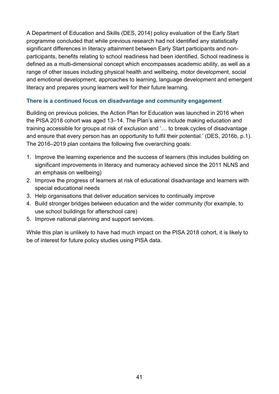A Department of Education and Skills (DES, 2014) policy evaluation of the Early Start programme concluded that while previous research had not identified any statistically significant differences in literacy attainment between Early Start participants and nonparticipants, benefits relating to school readiness had been identified. School readiness is defined as a multi-dimensional concept which encompasses academic ability, as well as a range of other issues including physical health and wellbeing, motor development, social and emotional development, approaches to learning, language development and emergent literacy and prepares young learners well for their future learning.

### **There is a continued focus on disadvantage and community engagement**

Building on previous policies, the Action Plan for Education was launched in 2016 when the PISA 2018 cohort was aged 13–14. The Plan's aims include making education and training accessible for groups at risk of exclusion and '… to break cycles of disadvantage and ensure that every person has an opportunity to fulfil their potential.' (DES, 2016b, p.1). The 2016–2019 plan contains the following five overarching goals:

- 1. Improve the learning experience and the success of learners (this includes building on significant improvements in literacy and numeracy achieved since the 2011 NLNS and an emphasis on wellbeing)
- 2. Improve the progress of learners at risk of educational disadvantage and learners with special educational needs
- 3. Help organisations that deliver education services to continually improve
- 4. Build stronger bridges between education and the wider community (for example, to use school buildings for afterschool care)
- 5. Improve national planning and support services.

While this plan is unlikely to have had much impact on the PISA 2018 cohort, it is likely to be of interest for future policy studies using PISA data.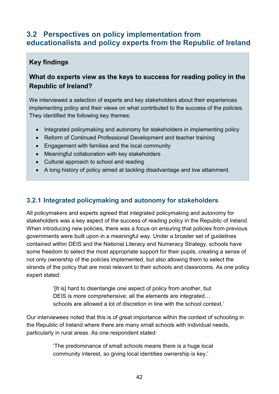# **3.2 Perspectives on policy implementation from educationalists and policy experts from the Republic of Ireland**

# **Key findings**

# **What do experts view as the keys to success for reading policy in the Republic of Ireland?**

We interviewed a selection of experts and key stakeholders about their experiences implementing policy and their views on what contributed to the success of the policies. They identified the following key themes:

- Integrated policymaking and autonomy for stakeholders in implementing policy
- Reform of Continued Professional Development and teacher training
- Engagement with families and the local community
- Meaningful collaboration with key stakeholders
- Cultural approach to school and reading
- A long history of policy aimed at tackling disadvantage and low attainment.

# **3.2.1 Integrated policymaking and autonomy for stakeholders**

All policymakers and experts agreed that integrated policymaking and autonomy for stakeholders was a key aspect of the success of reading policy in the Republic of Ireland. When introducing new policies, there was a focus on ensuring that policies from previous governments were built upon in a meaningful way. Under a broader set of guidelines contained within DEIS and the National Literacy and Numeracy Strategy, schools have some freedom to select the most appropriate support for their pupils, creating a sense of not only ownership of the policies implemented, but also allowing them to select the strands of the policy that are most relevant to their schools and classrooms. As one policy expert stated:

> '[It is] hard to disentangle one aspect of policy from another, but DEIS is more comprehensive; all the elements are integrated… schools are allowed a lot of discretion in line with the school context.'

Our interviewees noted that this is of great importance within the context of schooling in the Republic of Ireland where there are many small schools with individual needs, particularly in rural areas. As one respondent stated:

> 'The predominance of small schools means there is a huge local community interest, so giving local identities ownership is key.'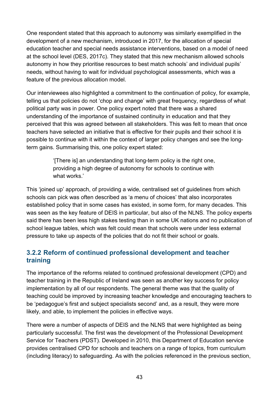One respondent stated that this approach to autonomy was similarly exemplified in the development of a new mechanism, introduced in 2017, for the allocation of special education teacher and special needs assistance interventions, based on a model of need at the school level (DES, 2017c). They stated that this new mechanism allowed schools autonomy in how they prioritise resources to best match schools' and individual pupils' needs, without having to wait for individual psychological assessments, which was a feature of the previous allocation model.

Our interviewees also highlighted a commitment to the continuation of policy, for example, telling us that policies do not 'chop and change' with great frequency, regardless of what political party was in power. One policy expert noted that there was a shared understanding of the importance of sustained continuity in education and that they perceived that this was agreed between all stakeholders. This was felt to mean that once teachers have selected an initiative that is effective for their pupils and their school it is possible to continue with it within the context of larger policy changes and see the longterm gains. Summarising this, one policy expert stated:

> '[There is] an understanding that long-term policy is the right one, providing a high degree of autonomy for schools to continue with what works.'

This 'joined up' approach, of providing a wide, centralised set of guidelines from which schools can pick was often described as 'a menu of choices' that also incorporates established policy that in some cases has existed, in some form, for many decades. This was seen as the key feature of DEIS in particular, but also of the NLNS. The policy experts said there has been less high stakes testing than in some UK nations and no publication of school league tables, which was felt could mean that schools were under less external pressure to take up aspects of the policies that do not fit their school or goals.

## **3.2.2 Reform of continued professional development and teacher training**

The importance of the reforms related to continued professional development (CPD) and teacher training in the Republic of Ireland was seen as another key success for policy implementation by all of our respondents. The general theme was that the quality of teaching could be improved by increasing teacher knowledge and encouraging teachers to be 'pedagogue's first and subject specialists second' and, as a result, they were more likely, and able, to implement the policies in effective ways.

There were a number of aspects of DEIS and the NLNS that were highlighted as being particularly successful. The first was the development of the Professional Development Service for Teachers (PDST). Developed in 2010, this Department of Education service provides centralised CPD for schools and teachers on a range of topics, from curriculum (including literacy) to safeguarding. As with the policies referenced in the previous section,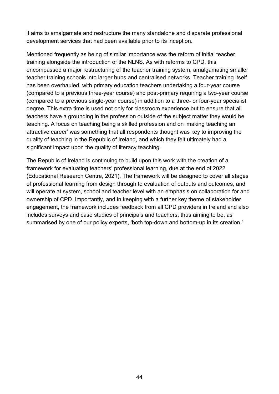it aims to amalgamate and restructure the many standalone and disparate professional development services that had been available prior to its inception.

Mentioned frequently as being of similar importance was the reform of initial teacher training alongside the introduction of the NLNS. As with reforms to CPD, this encompassed a major restructuring of the teacher training system, amalgamating smaller teacher training schools into larger hubs and centralised networks. Teacher training itself has been overhauled, with primary education teachers undertaking a four-year course (compared to a previous three-year course) and post-primary requiring a two-year course (compared to a previous single-year course) in addition to a three- or four-year specialist degree. This extra time is used not only for classroom experience but to ensure that all teachers have a grounding in the profession outside of the subject matter they would be teaching. A focus on teaching being a skilled profession and on 'making teaching an attractive career' was something that all respondents thought was key to improving the quality of teaching in the Republic of Ireland, and which they felt ultimately had a significant impact upon the quality of literacy teaching.

The Republic of Ireland is continuing to build upon this work with the creation of a framework for evaluating teachers' professional learning, due at the end of 2022 (Educational Research Centre, 2021). The framework will be designed to cover all stages of professional learning from design through to evaluation of outputs and outcomes, and will operate at system, school and teacher level with an emphasis on collaboration for and ownership of CPD. Importantly, and in keeping with a further key theme of stakeholder engagement, the framework includes feedback from all CPD providers in Ireland and also includes surveys and case studies of principals and teachers, thus aiming to be, as summarised by one of our policy experts, 'both top-down and bottom-up in its creation.'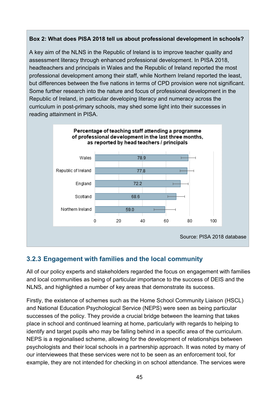### **Box 2: What does PISA 2018 tell us about professional development in schools?**

A key aim of the NLNS in the Republic of Ireland is to improve teacher quality and assessment literacy through enhanced professional development. In PISA 2018, headteachers and principals in Wales and the Republic of Ireland reported the most professional development among their staff, while Northern Ireland reported the least, but differences between the five nations in terms of CPD provision were not significant. Some further research into the nature and focus of professional development in the Republic of Ireland, in particular developing literacy and numeracy across the curriculum in post-primary schools, may shed some light into their successes in reading attainment in PISA.



# **3.2.3 Engagement with families and the local community**

All of our policy experts and stakeholders regarded the focus on engagement with families and local communities as being of particular importance to the success of DEIS and the NLNS, and highlighted a number of key areas that demonstrate its success.

Firstly, the existence of schemes such as the Home School Community Liaison (HSCL) and National Education Psychological Service (NEPS) were seen as being particular successes of the policy. They provide a crucial bridge between the learning that takes place in school and continued learning at home, particularly with regards to helping to identify and target pupils who may be falling behind in a specific area of the curriculum. NEPS is a regionalised scheme, allowing for the development of relationships between psychologists and their local schools in a partnership approach. It was noted by many of our interviewees that these services were not to be seen as an enforcement tool, for example, they are not intended for checking in on school attendance. The services were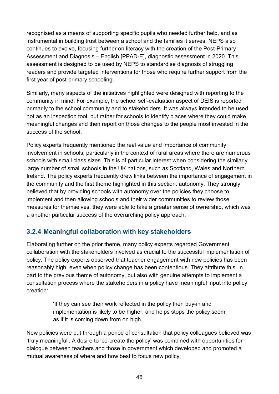recognised as a means of supporting specific pupils who needed further help, and as instrumental in building trust between a school and the families it serves. NEPS also continues to evolve, focusing further on literacy with the creation of the Post-Primary Assessment and Diagnosis – English [PPAD-E], diagnostic assessment in 2020. This assessment is designed to be used by NEPS to standardise diagnosis of struggling readers and provide targeted interventions for those who require further support from the first year of post-primary schooling.

Similarly, many aspects of the initiatives highlighted were designed with reporting to the community in mind. For example, the school self-evaluation aspect of DEIS is reported primarily to the school community and to stakeholders. It was always intended to be used not as an inspection tool, but rather for schools to identify places where they could make meaningful changes and then report on those changes to the people most invested in the success of the school.

Policy experts frequently mentioned the real value and importance of community involvement in schools, particularly in the context of rural areas where there are numerous schools with small class sizes. This is of particular interest when considering the similarly large number of small schools in the UK nations, such as Scotland, Wales and Northern Ireland. The policy experts frequently drew links between the importance of engagement in the community and the first theme highlighted in this section: autonomy. They strongly believed that by providing schools with autonomy over the policies they choose to implement and then allowing schools and their wider communities to review those measures for themselves, they were able to take a greater sense of ownership, which was a another particular success of the overarching policy approach.

# **3.2.4 Meaningful collaboration with key stakeholders**

Elaborating further on the prior theme, many policy experts regarded Government collaboration with the stakeholders involved as crucial to the successful implementation of policy. The policy experts observed that teacher engagement with new policies has been reasonably high, even when policy change has been contentious. They attribute this, in part to the previous theme of autonomy, but also with genuine attempts to implement a consultation process where the stakeholders in a policy have meaningful input into policy creation:

> 'If they can see their work reflected in the policy then buy-in and implementation is likely to be higher, and helps stops the policy seem as if it is coming down from on high.'

New policies were put through a period of consultation that policy colleagues believed was 'truly meaningful'. A desire to 'co-create the policy' was combined with opportunities for dialogue between teachers and those in government which developed and promoted a mutual awareness of where and how best to focus new policy: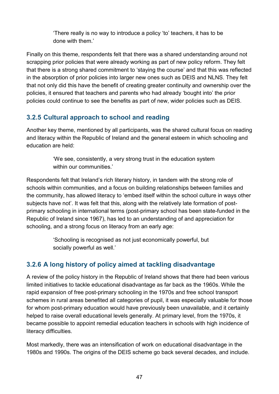'There really is no way to introduce a policy 'to' teachers, it has to be done with them.'

Finally on this theme, respondents felt that there was a shared understanding around not scrapping prior policies that were already working as part of new policy reform. They felt that there is a strong shared commitment to 'staying the course' and that this was reflected in the absorption of prior policies into larger new ones such as DEIS and NLNS. They felt that not only did this have the benefit of creating greater continuity and ownership over the policies, it ensured that teachers and parents who had already 'bought into' the prior policies could continue to see the benefits as part of new, wider policies such as DEIS.

# **3.2.5 Cultural approach to school and reading**

Another key theme, mentioned by all participants, was the shared cultural focus on reading and literacy within the Republic of Ireland and the general esteem in which schooling and education are held:

> 'We see, consistently, a very strong trust in the education system within our communities.'

Respondents felt that Ireland's rich literary history, in tandem with the strong role of schools within communities, and a focus on building relationships between families and the community, has allowed literacy to 'embed itself within the school culture in ways other subjects have not'. It was felt that this, along with the relatively late formation of postprimary schooling in international terms (post-primary school has been state-funded in the Republic of Ireland since 1967), has led to an understanding of and appreciation for schooling, and a strong focus on literacy from an early age:

> 'Schooling is recognised as not just economically powerful, but socially powerful as well.'

# **3.2.6 A long history of policy aimed at tackling disadvantage**

A review of the policy history in the Republic of Ireland shows that there had been various limited initiatives to tackle educational disadvantage as far back as the 1960s. While the rapid expansion of free post-primary schooling in the 1970s and free school transport schemes in rural areas benefited all categories of pupil, it was especially valuable for those for whom post-primary education would have previously been unavailable, and it certainly helped to raise overall educational levels generally. At primary level, from the 1970s, it became possible to appoint remedial education teachers in schools with high incidence of literacy difficulties.

Most markedly, there was an intensification of work on educational disadvantage in the 1980s and 1990s. The origins of the DEIS scheme go back several decades, and include.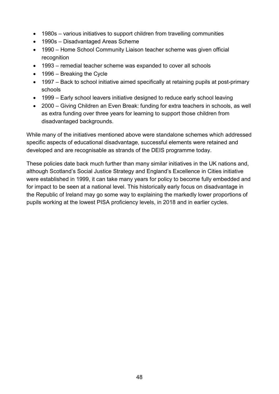- 1980s various initiatives to support children from travelling communities
- 1990s Disadvantaged Areas Scheme
- 1990 Home School Community Liaison teacher scheme was given official recognition
- 1993 remedial teacher scheme was expanded to cover all schools
- 1996 Breaking the Cycle
- 1997 Back to school initiative aimed specifically at retaining pupils at post-primary schools
- 1999 Early school leavers initiative designed to reduce early school leaving
- 2000 Giving Children an Even Break: funding for extra teachers in schools, as well as extra funding over three years for learning to support those children from disadvantaged backgrounds.

While many of the initiatives mentioned above were standalone schemes which addressed specific aspects of educational disadvantage, successful elements were retained and developed and are recognisable as strands of the DEIS programme today.

These policies date back much further than many similar initiatives in the UK nations and, although Scotland's Social Justice Strategy and England's Excellence in Cities initiative were established in 1999, it can take many years for policy to become fully embedded and for impact to be seen at a national level. This historically early focus on disadvantage in the Republic of Ireland may go some way to explaining the markedly lower proportions of pupils working at the lowest PISA proficiency levels, in 2018 and in earlier cycles.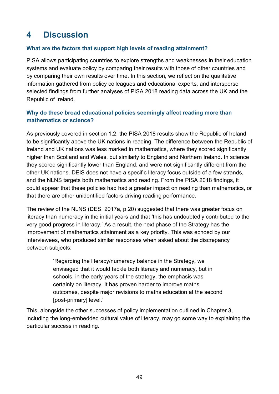# **4 Discussion**

### **What are the factors that support high levels of reading attainment?**

PISA allows participating countries to explore strengths and weaknesses in their education systems and evaluate policy by comparing their results with those of other countries and by comparing their own results over time. In this section, we reflect on the qualitative information gathered from policy colleagues and educational experts, and intersperse selected findings from further analyses of PISA 2018 reading data across the UK and the Republic of Ireland.

### **Why do these broad educational policies seemingly affect reading more than mathematics or science?**

As previously covered in section 1.2, the PISA 2018 results show the Republic of Ireland to be significantly above the UK nations in reading. The difference between the Republic of Ireland and UK nations was less marked in mathematics, where they scored significantly higher than Scotland and Wales, but similarly to England and Northern Ireland. In science they scored significantly lower than England, and were not significantly different from the other UK nations. DEIS does not have a specific literacy focus outside of a few strands, and the NLNS targets both mathematics and reading. From the PISA 2018 findings, it could appear that these policies had had a greater impact on reading than mathematics, or that there are other unidentified factors driving reading performance.

The review of the NLNS (DES, 2017a, p.20) suggested that there was greater focus on literacy than numeracy in the initial years and that 'this has undoubtedly contributed to the very good progress in literacy.' As a result, the next phase of the Strategy has the improvement of mathematics attainment as a key priority. This was echoed by our interviewees, who produced similar responses when asked about the discrepancy between subjects:

> 'Regarding the literacy/numeracy balance in the Strategy**,** we envisaged that it would tackle both literacy and numeracy, but in schools, in the early years of the strategy, the emphasis was certainly on literacy. It has proven harder to improve maths outcomes, despite major revisions to maths education at the second [post-primary] level.'

This, alongside the other successes of policy implementation outlined in Chapter 3, including the long-embedded cultural value of literacy, may go some way to explaining the particular success in reading.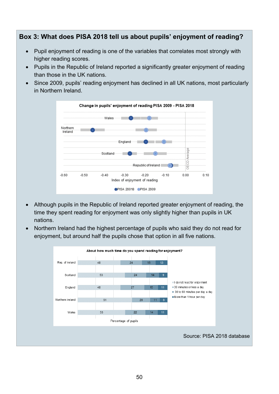## **Box 3: What does PISA 2018 tell us about pupils' enjoyment of reading?**

- Pupil enjoyment of reading is one of the variables that correlates most strongly with higher reading scores.
- Pupils in the Republic of Ireland reported a significantly greater enjoyment of reading than those in the UK nations.
- Since 2009, pupils' reading enjoyment has declined in all UK nations, most particularly in Northern Ireland.



- Although pupils in the Republic of Ireland reported greater enjoyment of reading, the time they spent reading for enjoyment was only slightly higher than pupils in UK nations.
- Northern Ireland had the highest percentage of pupils who said they do not read for enjoyment, but around half the pupils chose that option in all five nations.

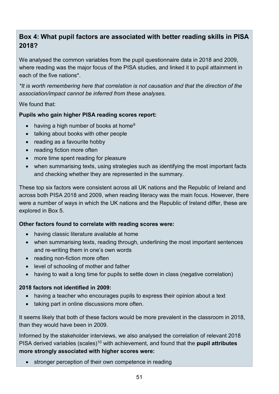# **Box 4: What pupil factors are associated with better reading skills in PISA 2018?**

We analysed the common variables from the pupil questionnaire data in 2018 and 2009, where reading was the major focus of the PISA studies, and linked it to pupil attainment in each of the five nations\*.

*\*It is worth remembering here that correlation is not causation and that the direction of the association/impact cannot be inferred from these analyses.*

#### We found that:

### **Pupils who gain higher PISA reading scores report:**

- having a high number of books at home<sup>[9](#page-54-0)</sup>
- talking about books with other people
- reading as a favourite hobby
- reading fiction more often
- more time spent reading for pleasure
- when summarising texts, using strategies such as identifying the most important facts and checking whether they are represented in the summary.

These top six factors were consistent across all UK nations and the Republic of Ireland and across both PISA 2018 and 2009, when reading literacy was the main focus. However, there were a number of ways in which the UK nations and the Republic of Ireland differ, these are explored in Box 5.

#### **Other factors found to correlate with reading scores were:**

- having classic literature available at home
- when summarising texts, reading through, underlining the most important sentences and re-writing them in one's own words
- reading non-fiction more often
- level of schooling of mother and father
- having to wait a long time for pupils to settle down in class (negative correlation)

#### **2018 factors not identified in 2009:**

- having a teacher who encourages pupils to express their opinion about a text
- taking part in online discussions more often.

It seems likely that both of these factors would be more prevalent in the classroom in 2018, than they would have been in 2009.

<span id="page-54-0"></span>Informed by the stakeholder interviews, we also analysed the correlation of relevant 2018 PISA derived variables (scales)<sup>[10](#page-54-1)</sup> with achievement, and found that the **pupil attributes more strongly associated with higher scores were:**

<span id="page-54-1"></span>• stronger perception of their own competence in reading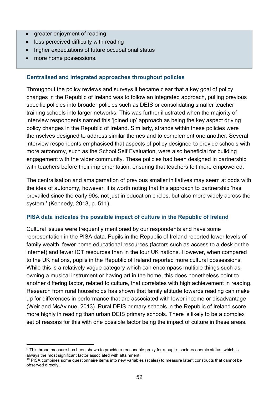- greater enjoyment of reading
- less perceived difficulty with reading
- higher expectations of future occupational status
- more home possessions.

### **Centralised and integrated approaches throughout policies**

Throughout the policy reviews and surveys it became clear that a key goal of policy changes in the Republic of Ireland was to follow an integrated approach, pulling previous specific policies into broader policies such as DEIS or consolidating smaller teacher training schools into larger networks. This was further illustrated when the majority of interview respondents named this 'joined up' approach as being the key aspect driving policy changes in the Republic of Ireland. Similarly, strands within these policies were themselves designed to address similar themes and to complement one another. Several interview respondents emphasised that aspects of policy designed to provide schools with more autonomy, such as the School Self Evaluation, were also beneficial for building engagement with the wider community. These policies had been designed in partnership with teachers before their implementation, ensuring that teachers felt more empowered.

The centralisation and amalgamation of previous smaller initiatives may seem at odds with the idea of autonomy, however, it is worth noting that this approach to partnership 'has prevailed since the early 90s, not just in education circles, but also more widely across the system.' (Kennedy, 2013, p. 511).

#### **PISA data indicates the possible impact of culture in the Republic of Ireland**

Cultural issues were frequently mentioned by our respondents and have some representation in the PISA data. Pupils in the Republic of Ireland reported lower levels of family wealth, fewer home educational resources (factors such as access to a desk or the internet) and fewer ICT resources than in the four UK nations. However, when compared to the UK nations, pupils in the Republic of Ireland reported more cultural possessions. While this is a relatively vague category which can encompass multiple things such as owning a musical instrument or having art in the home, this does nonetheless point to another differing factor, related to culture, that correlates with high achievement in reading. Research from rural households has shown that family attitude towards reading can make up for differences in performance that are associated with lower income or disadvantage (Weir and McAvinue, 2013). Rural DEIS primary schools in the Republic of Ireland score more highly in reading than urban DEIS primary schools. There is likely to be a complex set of reasons for this with one possible factor being the impact of culture in these areas.

<sup>&</sup>lt;sup>9</sup> This broad measure has been shown to provide a reasonable proxy for a pupil's socio-economic status, which is always the most significant factor associated with attainment.

 $10$  PISA combines some questionnaire items into new variables (scales) to measure latent constructs that cannot be observed directly.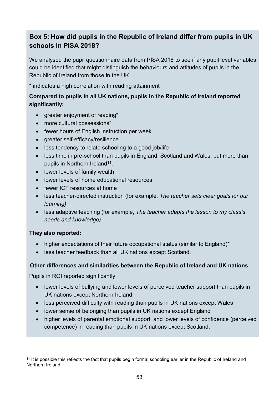# **Box 5: How did pupils in the Republic of Ireland differ from pupils in UK schools in PISA 2018?**

We analysed the pupil questionnaire data from PISA 2018 to see if any pupil level variables could be identified that might distinguish the behaviours and attitudes of pupils in the Republic of Ireland from those in the UK.

\* indicates a high correlation with reading attainment

### **Compared to pupils in all UK nations, pupils in the Republic of Ireland reported significantly:**

- greater enjoyment of reading\*
- more cultural possessions\*
- fewer hours of English instruction per week
- greater self-efficacy/resilience
- less tendency to relate schooling to a good job/life
- less time in pre-school than pupils in England, Scotland and Wales, but more than pupils in Northern Ireland<sup>11</sup>.
- lower levels of family wealth
- lower levels of home educational resources
- fewer ICT resources at home
- less teacher-directed instruction (for example, *The teacher sets clear goals for our learning)*
- less adaptive teaching (for example, *The teacher adapts the lesson to my class's needs and knowledge)*

### **They also reported:**

- higher expectations of their future occupational status (similar to England)\*
- less teacher feedback than all UK nations except Scotland.

### **Other differences and similarities between the Republic of Ireland and UK nations**

Pupils in ROI reported significantly:

- lower levels of bullying and lower levels of perceived teacher support than pupils in UK nations except Northern Ireland
- less perceived difficulty with reading than pupils in UK nations except Wales
- lower sense of belonging than pupils in UK nations except England
- higher levels of parental emotional support, and lower levels of confidence (perceived competence) in reading than pupils in UK nations except Scotland.

<span id="page-56-0"></span><sup>&</sup>lt;sup>11</sup> It is possible this reflects the fact that pupils begin formal schooling earlier in the Republic of Ireland and Northern Ireland.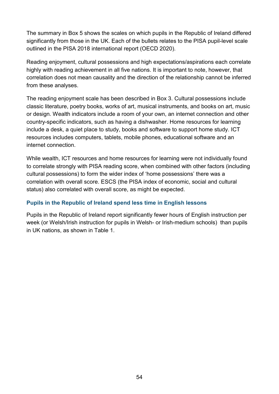The summary in Box 5 shows the scales on which pupils in the Republic of Ireland differed significantly from those in the UK. Each of the bullets relates to the PISA pupil-level scale outlined in the PISA 2018 international report (OECD 2020).

Reading enjoyment, cultural possessions and high expectations/aspirations each correlate highly with reading achievement in all five nations. It is important to note, however, that correlation does not mean causality and the direction of the relationship cannot be inferred from these analyses.

The reading enjoyment scale has been described in Box 3. Cultural possessions include classic literature, poetry books, works of art, musical instruments, and books on art, music or design. Wealth indicators include a room of your own, an internet connection and other country-specific indicators, such as having a dishwasher. Home resources for learning include a desk, a quiet place to study, books and software to support home study. ICT resources includes computers, tablets, mobile phones, educational software and an internet connection.

While wealth, ICT resources and home resources for learning were not individually found to correlate strongly with PISA reading score, when combined with other factors (including cultural possessions) to form the wider index of 'home possessions' there was a correlation with overall score. ESCS (the PISA index of economic, social and cultural status) also correlated with overall score, as might be expected.

### **Pupils in the Republic of Ireland spend less time in English lessons**

Pupils in the Republic of Ireland report significantly fewer hours of English instruction per week (or Welsh/Irish instruction for pupils in Welsh- or Irish-medium schools) than pupils in UK nations, as shown in Table 1.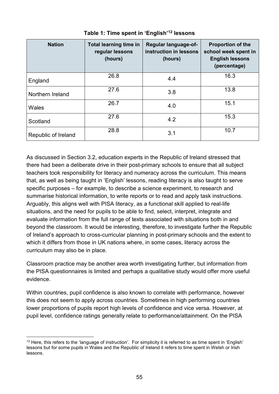| <b>Nation</b>       | <b>Total learning time in</b><br>regular lessons<br>(hours) | Regular language-of-<br>instruction in lessons<br>(hours) | <b>Proportion of the</b><br>school week spent in<br><b>English lessons</b><br>(percentage) |
|---------------------|-------------------------------------------------------------|-----------------------------------------------------------|--------------------------------------------------------------------------------------------|
| England             | 26.8                                                        | 4.4                                                       | 16.3                                                                                       |
| Northern Ireland    | 27.6                                                        | 3.8                                                       | 13.8                                                                                       |
| Wales               | 26.7                                                        | 4.0                                                       | 15.1                                                                                       |
| Scotland            | 27.6                                                        | 4.2                                                       | 15.3                                                                                       |
| Republic of Ireland | 28.8                                                        | 3.1                                                       | 10.7                                                                                       |

## **Table 1: Time spent in 'English' [12](#page-58-0) lessons**

As discussed in Section 3.2, education experts in the Republic of Ireland stressed that there had been a deliberate drive in their post-primary schools to ensure that all subject teachers took responsibility for literacy and numeracy across the curriculum. This means that, as well as being taught in 'English' lessons, reading literacy is also taught to serve specific purposes – for example, to describe a science experiment, to research and summarise historical information, to write reports or to read and apply task instructions. Arguably, this aligns well with PISA literacy, as a functional skill applied to real-life situations, and the need for pupils to be able to find, select, interpret, integrate and evaluate information from the full range of texts associated with situations both in and beyond the classroom. It would be interesting, therefore, to investigate further the Republic of Ireland's approach to cross-curricular planning in post-primary schools and the extent to which it differs from those in UK nations where, in some cases, literacy across the curriculum may also be in place.

Classroom practice may be another area worth investigating further, but information from the PISA questionnaires is limited and perhaps a qualitative study would offer more useful evidence.

Within countries, pupil confidence is also known to correlate with performance, however this does not seem to apply across countries. Sometimes in high performing countries lower proportions of pupils report high levels of confidence and vice versa. However, at pupil level, confidence ratings generally relate to performance/attainment. On the PISA

<span id="page-58-0"></span><sup>&</sup>lt;sup>12</sup> Here, this refers to the 'language of instruction'. For simplicity it is referred to as time spent in 'English' lessons but for some pupils in Wales and the Republic of Ireland it refers to time spent in Welsh or Irish lessons.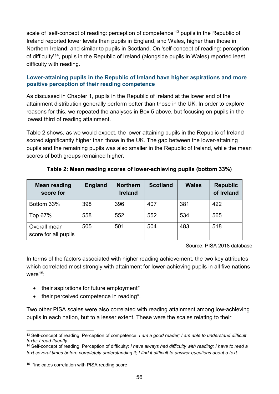scale of 'self-concept of reading: perception of competence'[13](#page-59-0) pupils in the Republic of Ireland reported lower levels than pupils in England, and Wales, higher than those in Northern Ireland, and similar to pupils in Scotland. On 'self-concept of reading: perception of difficulty'[14](#page-59-1), pupils in the Republic of Ireland (alongside pupils in Wales) reported least difficulty with reading.

### **Lower-attaining pupils in the Republic of Ireland have higher aspirations and more positive perception of their reading competence**

As discussed in Chapter 1, pupils in the Republic of Ireland at the lower end of the attainment distribution generally perform better than those in the UK. In order to explore reasons for this, we repeated the analyses in Box 5 above, but focusing on pupils in the lowest third of reading attainment.

Table 2 shows, as we would expect, the lower attaining pupils in the Republic of Ireland scored significantly higher than those in the UK. The gap between the lower-attaining pupils and the remaining pupils was also smaller in the Republic of Ireland, while the mean scores of both groups remained higher.

| <b>Mean reading</b><br>score for     | <b>England</b> | <b>Northern</b><br><b>Ireland</b> | <b>Scotland</b> | <b>Wales</b> | <b>Republic</b><br>of Ireland |
|--------------------------------------|----------------|-----------------------------------|-----------------|--------------|-------------------------------|
| Bottom 33%                           | 398            | 396                               | 407             | 381          | 422                           |
| Top 67%                              | 558            | 552                               | 552             | 534          | 565                           |
| Overall mean<br>score for all pupils | 505            | 501                               | 504             | 483          | 518                           |

### **Table 2: Mean reading scores of lower-achieving pupils (bottom 33%)**

Source: PISA 2018 database

In terms of the factors associated with higher reading achievement, the two key attributes which correlated most strongly with attainment for lower-achieving pupils in all five nations were  $15$ :

- their aspirations for future employment\*
- their perceived competence in reading\*.

Two other PISA scales were also correlated with reading attainment among low-achieving pupils in each nation, but to a lesser extent. These were the scales relating to their

<span id="page-59-0"></span> <sup>13</sup> Self-concept of reading: Perception of competence: *I am a good reader; I am able to understand difficult texts; I read fluently.*

<span id="page-59-1"></span><sup>14</sup> Self-concept of reading: Perception of difficulty: *I have always had difficulty with reading; I have to read a text several times before completely understanding it; I find it difficult to answer questions about a text.*

<span id="page-59-2"></span><sup>&</sup>lt;sup>15</sup> \*indicates correlation with PISA reading score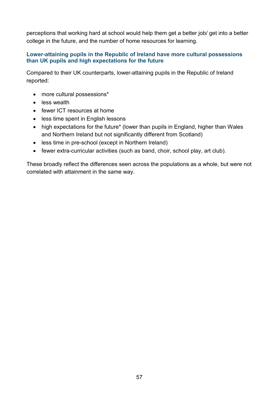perceptions that working hard at school would help them get a better job/ get into a better college in the future, and the number of home resources for learning.

### **Lower-attaining pupils in the Republic of Ireland have more cultural possessions than UK pupils and high expectations for the future**

Compared to their UK counterparts, lower-attaining pupils in the Republic of Ireland reported:

- more cultural possessions\*
- less wealth
- fewer ICT resources at home
- less time spent in English lessons
- high expectations for the future<sup>\*</sup> (lower than pupils in England, higher than Wales and Northern Ireland but not significantly different from Scotland)
- less time in pre-school (except in Northern Ireland)
- fewer extra-curricular activities (such as band, choir, school play, art club).

These broadly reflect the differences seen across the populations as a whole, but were not correlated with attainment in the same way.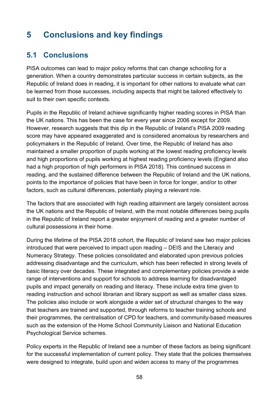# **5 Conclusions and key findings**

# **5.1 Conclusions**

PISA outcomes can lead to major policy reforms that can change schooling for a generation. When a country demonstrates particular success in certain subjects, as the Republic of Ireland does in reading, it is important for other nations to evaluate what can be learned from those successes, including aspects that might be tailored effectively to suit to their own specific contexts.

Pupils in the Republic of Ireland achieve significantly higher reading scores in PISA than the UK nations. This has been the case for every year since 2006 except for 2009. However, research suggests that this dip in the Republic of Ireland's PISA 2009 reading score may have appeared exaggerated and is considered anomalous by researchers and policymakers in the Republic of Ireland. Over time, the Republic of Ireland has also maintained a smaller proportion of pupils working at the lowest reading proficiency levels and high proportions of pupils working at highest reading proficiency levels (England also had a high proportion of high performers in PISA 2018). This continued success in reading, and the sustained difference between the Republic of Ireland and the UK nations, points to the importance of policies that have been in force for longer, and/or to other factors, such as cultural differences, potentially playing a relevant role.

The factors that are associated with high reading attainment are largely consistent across the UK nations and the Republic of Ireland, with the most notable differences being pupils in the Republic of Ireland report a greater enjoyment of reading and a greater number of cultural possessions in their home.

During the lifetime of the PISA 2018 cohort, the Republic of Ireland saw two major policies introduced that were perceived to impact upon reading – DEIS and the Literacy and Numeracy Strategy. These policies consolidated and elaborated upon previous policies addressing disadvantage and the curriculum, which has been reflected in strong levels of basic literacy over decades. These integrated and complementary policies provide a wide range of interventions and support for schools to address learning for disadvantaged pupils and impact generally on reading and literacy. These include extra time given to reading instruction and school librarian and library support as well as smaller class sizes. The policies also include or work alongside a wider set of structural changes to the way that teachers are trained and supported, through reforms to teacher training schools and their programmes, the centralisation of CPD for teachers, and community-based measures such as the extension of the Home School Community Liaison and National Education Psychological Service schemes.

Policy experts in the Republic of Ireland see a number of these factors as being significant for the successful implementation of current policy. They state that the policies themselves were designed to integrate, build upon and widen access to many of the programmes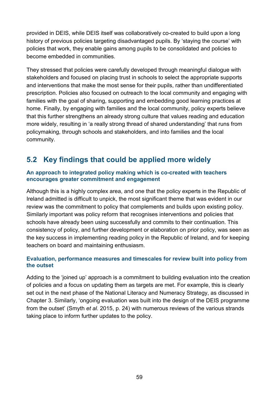provided in DEIS, while DEIS itself was collaboratively co-created to build upon a long history of previous policies targeting disadvantaged pupils. By 'staying the course' with policies that work, they enable gains among pupils to be consolidated and policies to become embedded in communities.

They stressed that policies were carefully developed through meaningful dialogue with stakeholders and focused on placing trust in schools to select the appropriate supports and interventions that make the most sense for their pupils, rather than undifferentiated prescription. Policies also focused on outreach to the local community and engaging with families with the goal of sharing, supporting and embedding good learning practices at home. Finally, by engaging with families and the local community, policy experts believe that this further strengthens an already strong culture that values reading and education more widely, resulting in 'a really strong thread of shared understanding' that runs from policymaking, through schools and stakeholders, and into families and the local community.

# **5.2 Key findings that could be applied more widely**

#### **An approach to integrated policy making which is co-created with teachers encourages greater commitment and engagement**

Although this is a highly complex area, and one that the policy experts in the Republic of Ireland admitted is difficult to unpick, the most significant theme that was evident in our review was the commitment to policy that complements and builds upon existing policy. Similarly important was policy reform that recognises interventions and policies that schools have already been using successfully and commits to their continuation. This consistency of policy, and further development or elaboration on prior policy, was seen as the key success in implementing reading policy in the Republic of Ireland, and for keeping teachers on board and maintaining enthusiasm.

### **Evaluation, performance measures and timescales for review built into policy from the outset**

Adding to the 'joined up' approach is a commitment to building evaluation into the creation of policies and a focus on updating them as targets are met. For example, this is clearly set out in the next phase of the National Literacy and Numeracy Strategy, as discussed in Chapter 3. Similarly, 'ongoing evaluation was built into the design of the DEIS programme from the outset' (Smyth *et al.* 2015, p. 24) with numerous reviews of the various strands taking place to inform further updates to the policy.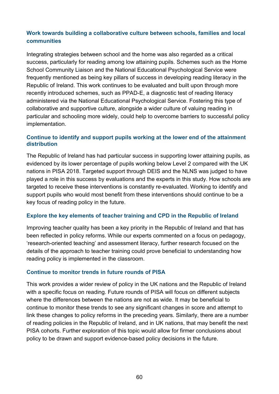### **Work towards building a collaborative culture between schools, families and local communities**

Integrating strategies between school and the home was also regarded as a critical success, particularly for reading among low attaining pupils. Schemes such as the Home School Community Liaison and the National Educational Psychological Service were frequently mentioned as being key pillars of success in developing reading literacy in the Republic of Ireland. This work continues to be evaluated and built upon through more recently introduced schemes, such as PPAD-E, a diagnostic test of reading literacy administered via the National Educational Psychological Service. Fostering this type of collaborative and supportive culture, alongside a wider culture of valuing reading in particular and schooling more widely, could help to overcome barriers to successful policy implementation.

#### **Continue to identify and support pupils working at the lower end of the attainment distribution**

The Republic of Ireland has had particular success in supporting lower attaining pupils, as evidenced by its lower percentage of pupils working below Level 2 compared with the UK nations in PISA 2018. Targeted support through DEIS and the NLNS was judged to have played a role in this success by evaluations and the experts in this study. How schools are targeted to receive these interventions is constantly re-evaluated. Working to identify and support pupils who would most benefit from these interventions should continue to be a key focus of reading policy in the future.

#### **Explore the key elements of teacher training and CPD in the Republic of Ireland**

Improving teacher quality has been a key priority in the Republic of Ireland and that has been reflected in policy reforms. While our experts commented on a focus on pedagogy, 'research-oriented teaching' and assessment literacy, further research focused on the details of the approach to teacher training could prove beneficial to understanding how reading policy is implemented in the classroom.

#### **Continue to monitor trends in future rounds of PISA**

This work provides a wider review of policy in the UK nations and the Republic of Ireland with a specific focus on reading. Future rounds of PISA will focus on different subjects where the differences between the nations are not as wide. It may be beneficial to continue to monitor these trends to see any significant changes in score and attempt to link these changes to policy reforms in the preceding years. Similarly, there are a number of reading policies in the Republic of Ireland, and in UK nations, that may benefit the next PISA cohorts. Further exploration of this topic would allow for firmer conclusions about policy to be drawn and support evidence-based policy decisions in the future.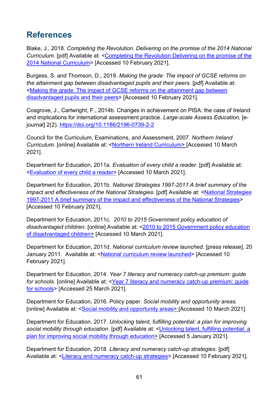# **References**

Blake, J., 2018. *Completing the Revolution. Delivering on the promise of the 2014 National Curriculum*. [pdf] Available at: [<Completing the Revolution Delivering on the promise of the](https://policyexchange.org.uk/wp-content/uploads/2018/03/Completing-the-Revolution.pdf)  [2014 National Curriculum>](https://policyexchange.org.uk/wp-content/uploads/2018/03/Completing-the-Revolution.pdf) [Accessed 10 February 2021].

Burgess, S. and Thomson, D., 2019. *Making the grade: The impact of GCSE reforms on the attainment gap between disadvantaged pupils and their peers.* [pdf] Available at: [<Making the grade: The impact of GCSE reforms on the attainment gap between](https://www.suttontrust.com/wp-content/uploads/2019/12/MakingtheGrade2019.pdf)  [disadvantaged pupils and their peers>](https://www.suttontrust.com/wp-content/uploads/2019/12/MakingtheGrade2019.pdf) [Accessed 10 February 2021].

Cosgrove, J., Cartwright, F., 2014b. Changes in achievement on PISA: the case of Ireland and implications for international assessment practice. *Large-scale Assess Education,* [ejournal] 2(2). <https://doi.org/10.1186/2196-0739-2-2>

Council for the Curriculum, Examinations, and Assessment, 2007. *Northern Ireland Curriculum*. [online] Available at: [<Northern Ireland Curriculum>](https://ccea.org.uk/about/what-we-do/curriculum) [Accessed 10 March 2021].

Department for Education, 2011a. *Evaluation of every child a reader*. [pdf] Available at: [<Evaluation of every child a reader>](https://assets.publishing.service.gov.uk/government/uploads/system/uploads/attachment_data/file/182631/DFE-RR114.pdf) [Accessed 10 March 2021].

Department for Education, 2011b. *National Strategies 1997-2011 A brief summary of the impact and effectiveness of the National Strategies*. [pdf] Available at: [<National Strategies](https://assets.publishing.service.gov.uk/government/uploads/system/uploads/attachment_data/file/175408/DFE-00032-2011.pdf)  [1997-2011 A brief summary of the impact and effectiveness of the National Strategies>](https://assets.publishing.service.gov.uk/government/uploads/system/uploads/attachment_data/file/175408/DFE-00032-2011.pdf) [Accessed 10 February 2021].

Department for Education, 2011c. *2010 to 2015 Government policy education of disadvantaged children*. [online] Available at: [<2010 to 2015 Government policy education](https://www.gov.uk/government/publications/2010-to-2015-government-policy-education-of-disadvantaged-children/2010-to-2015-government-policy-education-of-disadvantaged-children)  [of disadvantaged children>](https://www.gov.uk/government/publications/2010-to-2015-government-policy-education-of-disadvantaged-children/2010-to-2015-government-policy-education-of-disadvantaged-children) [Accessed 10 March 2021].

Department for Education, 2011d. *National curriculum review launched*. [press release], 20 January 2011. Available at: [<National curriculum review launched>](https://www.gov.uk/government/news/national-curriculum-review-launched) [Accessed 10 February 2021].

Department for Education, 2014. *Year 7 literacy and numeracy catch-up premium: guide for schools.* [online] Available at: <Year 7 literacy and numeracy catch-up premium: quide [for schools>](https://www.gov.uk/guidance/year-7-literacy-and-numeracy-catch-up-premium-guide-for-schools%23how-to-use-the-year-7-literacy-and-numeracy-catch-up-premium) [Accessed 25 March 2021].

Department for Education, 2016. Policy paper. *Social mobility and opportunity areas*. [online] Available at: [<Social mobility and opportunity areas>](https://www.gov.uk/government/publications/social-mobility-and-opportunity-areas) [Accessed 10 March 2021].

Department for Education, 2017. *Unlocking talent, fulfilling potential: a plan for improving social mobility through education*. [pdf] Available at: [<Unlocking talent, fulfilling potential: a](https://assets.publishing.service.gov.uk/government/uploads/system/uploads/attachment_data/file/667690/Social_Mobility_Action_Plan_-_for_printing.pdf)  [plan for improving social mobility through education>](https://assets.publishing.service.gov.uk/government/uploads/system/uploads/attachment_data/file/667690/Social_Mobility_Action_Plan_-_for_printing.pdf) [Accessed 5 January 2021].

Department for Education, 2018. *Literacy and numeracy catch-up strategies*. [pdf] Available at: [<Literacy and numeracy catch-up strategies>](https://assets.publishing.service.gov.uk/government/uploads/system/uploads/attachment_data/file/739722/literacy_and_numeracy_catch_up_strategies_amended_july-2018_amended_10.09.18.pdf) [Accessed 10 February 2021].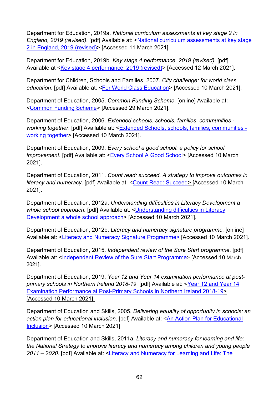Department for Education, 2019a. *National curriculum assessments at key stage 2 in England, 2019 (revised)*. [pdf] Available at: [<National curriculum assessments at key stage](https://assets.publishing.service.gov.uk/government/uploads/system/uploads/attachment_data/file/851798/KS2_Revised_publication_text_2019_v3.pdf)  [2 in England, 2019 \(revised\)>](https://assets.publishing.service.gov.uk/government/uploads/system/uploads/attachment_data/file/851798/KS2_Revised_publication_text_2019_v3.pdf) [Accessed 11 March 2021].

Department for Education, 2019b. *Key stage 4 performance, 2019 (revised)*. [pdf] Available at [<Key stage 4 performance, 2019 \(revised\)>](https://assets.publishing.service.gov.uk/government/uploads/system/uploads/attachment_data/file/863815/2019_KS4_revised_text.pdf) [Accessed 12 March 2021].

Department for Children, Schools and Families, 2007. *City challenge: for world class education*. [pdf] Available at: [<For World Class Education>](https://webarchive.nationalarchives.gov.uk/20110506025645/https:/www.education.gov.uk/publications/eOrderingDownload/WorldClassEducation.pdf) [Accessed 10 March 2021].

Department of Education, 2005. *Common Funding Scheme*. [online] Available at: [<Common Funding Scheme>](https://www.education-ni.gov.uk/articles/common-funding) [Accessed 29 March 2021].

Department of Education, 2006. *Extended schools: schools, families, communities working together*. [pdf] Available at: [<Extended Schools, schools, families, communities](https://www.education-ni.gov.uk/sites/default/files/publications/de/extended-schools-policy-document.pdf)  [working together>](https://www.education-ni.gov.uk/sites/default/files/publications/de/extended-schools-policy-document.pdf) [Accessed 10 March 2021].

Department of Education, 2009. *Every school a good school: a policy for school improvement*. [pdf] Available at: [<Every School A Good School>](https://www.education-ni.gov.uk/sites/default/files/publications/de/ESAGS%20Policy%20for%20School%20Improvement%20-%20Final%20Version%2005-05-2009.pdf) [Accessed 10 March 2021].

Department of Education, 2011. *Count read: succeed. A strategy to improve outcomes in literacy and numeracy*. [pdf] Available at: [<Count Read: Succeed>](https://www.education-ni.gov.uk/sites/default/files/publications/de/count-read-succeed-a-strategy-to-improve-outcomes-in-literacy-and-numeracy.pdf) [Accessed 10 March 2021].

Department of Education, 2012a. *Understanding difficulties in Literacy Development a whole school approach*. [pdf] Available at: [<Understanding difficulties in Literacy](https://www.education-ni.gov.uk/sites/default/files/publications/de/literacy-flyer.pdf)  Development a whole school approach > [Accessed 10 March 2021].

Department of Education, 2012b. *Literacy and numeracy signature programme.* [online] Available at: [<Literacy and Numeracy Signature Programme>](https://www.executiveoffice-ni.gov.uk/topics/good-relations-and-social-change/delivering-social-change-signature-programmes#toc-9) [Accessed 10 March 2021].

Department of Education, 2015. *Independent review of the Sure Start programme*. [pdf] Available at: [<Independent Review of the Sure Start Programme>](http://www.kilkeelsurestart.com/media/uploads/Review%20of%20Sure%20Start%20-%20Final%20Report.pdf) [Accessed 10 March] 2021].

Department of Education, 2019. *Year 12 and Year 14 examination performance at postprimary schools in Northern Ireland 2018-19*. [pdf] Available at: [<Year 12 and Year 14](https://www.education-ni.gov.uk/sites/default/files/publications/education/Year%2012%20and%20Year%2014%20Examination%20Performance%20at%20Post%20Primary%20schools%20in%20NI%202018_19.pdf)  [Examination Performance at Post-Primary Schools in Northern Ireland 2018-19>](https://www.education-ni.gov.uk/sites/default/files/publications/education/Year%2012%20and%20Year%2014%20Examination%20Performance%20at%20Post%20Primary%20schools%20in%20NI%202018_19.pdf) [Accessed 10 March 2021].

Department of Education and Skills, 2005. *Delivering equality of opportunity in schools: an*  action plan for *educational inclusion*. [pdf] Available at: <**An Action Plan for Educational** [Inclusion>](https://www.education.ie/en/Publications/Policy-Reports/deis_action_plan_on_educational_inclusion.pdf) [Accessed 10 March 2021].

Department of Education and Skills, 2011a. *Literacy and numeracy for learning and life: the National Strategy to improve literacy and numeracy among children and young people 2011 – 2020*. [pdf] Available at: [<Literacy and Numeracy for Learning and Life: The](https://www.education.ie/en/publications/policy-reports/lit_num_strategy_full.pdf)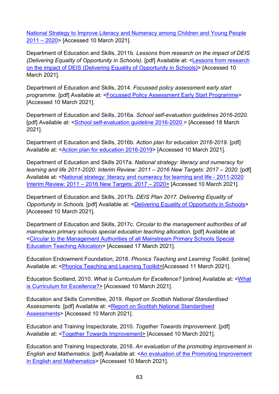[National Strategy to Improve Literacy and Numeracy among Children and Young People](https://www.education.ie/en/publications/policy-reports/lit_num_strategy_full.pdf)  [2011 –](https://www.education.ie/en/publications/policy-reports/lit_num_strategy_full.pdf) 2020> [Accessed 10 March 2021].

Department of Education and Skills, 2011b*. Lessons from research on the impact of DEIS (Delivering Equality of Opportunity in Schools).* [pdf] Available at: [<Lessons from research](https://www.education.ie/en/schools-colleges/services/deis-delivering-equality-of-opportunity-in-schools-/lessons-from-research-on-the-impact-of-deis.pdf)  [on the impact of DEIS \(Delivering Equality of Opportunity in Schools\)>](https://www.education.ie/en/schools-colleges/services/deis-delivering-equality-of-opportunity-in-schools-/lessons-from-research-on-the-impact-of-deis.pdf) [Accessed 10 March 2021].

Department of Education and Skills, 2014. *Focussed policy assessment early start programme*. [pdf] Available at: [<Focussed Policy Assessment Early Start Programme>](https://www.education.ie/en/Publications/Education-Reports/Focussed-Policy-Assessment-Early-Start-Programme-Early-Years-Education-Policy-Unit.pdf) [Accessed 10 March 2021].

Department of Education and Skills, 2016a. *School self-evaluation guidelines 2016-2020.* [pdf] Available at: [<School self-evaluation guideline 2016-2020](https://assets.gov.ie/25263/dcc85452ad6d451f89ed8e7b1967f200.pdf) > [Accessed 18 March 2021].

Department of Education and Skills, 2016b. *Action plan for education 2016-2019*. [pdf] Available at: [<Action plan for education 2016-2019>](https://assets.gov.ie/24342/ee86271484a64c1b82dce9d4d7af1587.pdf) [Accessed 10 March 2021].

Department of Education and Skills 2017a. *National strategy: literacy and numeracy for learning and life 2011-2020: Interim Review: 2011 – 2016 New Targets: 2017 – 2020*. [pdf] Available at: [<National strategy: literacy and numeracy for learning and life -](https://www.education.ie/en/publications/education-reports/pub_ed_interim_review_literacy_numeracy_2011_2020.pdf) 2011-2020 Interim Review: 2011 – [2016 New Targets: 2017 –](https://www.education.ie/en/publications/education-reports/pub_ed_interim_review_literacy_numeracy_2011_2020.pdf) 2020> [Accessed 10 March 2021].

Department of Education and Skills, 2017b. *DEIS Plan 2017. Delivering Equality of Opportunity in Schools. [pdf] Available at: [<Delivering Equality of Opportunity in Schools>](https://www.education.ie/en/publications/policy-reports/deis-plan-2017.pdf)* [Accessed 10 March 2021].

Department of Education and Skills, 2017c. *Circular to the management authorities of all mainstream primary schools special education teaching allocation.* [pdf] Available at: <Circular to [the Management Authorities of all Mainstream Primary Schools Special](https://www.education.ie/en/Circulars-and-Forms/Active-Circulars/cl0013_2017.pdf)  [Education Teaching Allocation>](https://www.education.ie/en/Circulars-and-Forms/Active-Circulars/cl0013_2017.pdf) [Accessed 17 March 2021].

Education Endowment Foundation, 2018. *Phonics Teaching and Learning Toolkit.* [online] Available at: [<Phonics Teaching and Learning Toolkit>](https://educationendowmentfoundation.org.uk/pdf/generate/?u=https://educationendowmentfoundation.org.uk/pdf/toolkit/?id=142&t=Teaching%20and%20Learning%20Toolkit&e=142&s)[Accessed 11 March 2021].

Education Scotland, 2010. *What is Curriculum for Excellence?* [online] Available at: [<What](https://education.gov.scot/education-scotland/scottish-education-system/policy-for-scottish-education/policy-drivers/cfe-building-from-the-statement-appendix-incl-btc1-5/what-is-curriculum-for-excellence)  [is Curriculum for Excellence?>](https://education.gov.scot/education-scotland/scottish-education-system/policy-for-scottish-education/policy-drivers/cfe-building-from-the-statement-appendix-incl-btc1-5/what-is-curriculum-for-excellence) [Accessed 10 March 2021].

Education and Skills Committee, 2019. *Report on Scottish National Standardised*  Assessments. [pdf] Available at: <Report on Scottish National Standardised [Assessments>](https://sp-bpr-en-prod-cdnep.azureedge.net/published/ES/2019/4/23/Report-on-Scottish-National-Standardised-Assessments/ESS052019R3.pdf) [Accessed 10 March 2021].

Education and Training Inspectorate, 2010. *Together Towards Improvement*. [pdf] Available at: [<Together Towards Improvement>](https://dera.ioe.ac.uk/1990/1/together-towards-improvement-primary.pdf) [Accessed 10 March 2021].

Education and Training Inspectorate, 2016. *An evaluation of the promoting improvement in English and Mathematics*. [pdf] Available at: <An [evaluation of the Promoting Improvement](https://www.etini.gov.uk/sites/etini.gov.uk/files/publications/An%20Evaluation%20of%20the%20Promoting%20Improvement%20in%20English%20and%20Mathematics%20%28PIEM%29%20Project.pdf)  [in English and Mathematics>](https://www.etini.gov.uk/sites/etini.gov.uk/files/publications/An%20Evaluation%20of%20the%20Promoting%20Improvement%20in%20English%20and%20Mathematics%20%28PIEM%29%20Project.pdf) [Accessed 10 March 2021].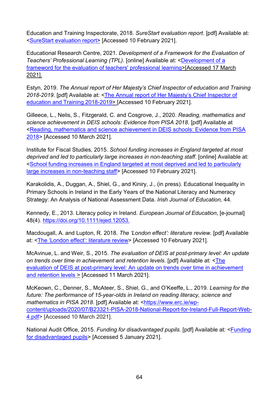Education and Training Inspectorate, 2018. *SureStart evaluation report*. [pdf] Available at: [<SureStart evaluation report>](https://www.etini.gov.uk/sites/etini.gov.uk/files/publications/surestart-evaluation-report-may-2018.pdf) [Accessed 10 February 2021].

Educational Research Centre, 2021. *Development of a Framework for the Evaluation of Teachers' Professional Learning (TPL)*. [online] Available at: [<Development of a](https://www.erc.ie/programme-of-work/development-of-a-framework-for-the-evaluation-of-teachers-professional-learning-tpl/)  [frameword for the evaluation of teachers' professional learning>](https://www.erc.ie/programme-of-work/development-of-a-framework-for-the-evaluation-of-teachers-professional-learning-tpl/)[Accessed 17 March 2021].

Estyn, 2019. *The Annual report of Her Majesty's Chief Inspector of education and Training 2018-2019*. [pdf] Available at: <The Annual report [of Her Majesty's Chief Inspector of](https://www.estyn.gov.wales/sites/www.estyn.gov.wales/files/2020-07/Annual_Report_2018_2019_en_2.pdf)  [education and Training 2018-2019>](https://www.estyn.gov.wales/sites/www.estyn.gov.wales/files/2020-07/Annual_Report_2018_2019_en_2.pdf) [Accessed 10 February 2021].

Gilleece, L., Nelis, S., Fitzgerald, C. and Cosgrove, J., 2020. *Reading, mathematics and science achievement in DEIS schools: Evidence from PISA 2018*. [pdf] Available at [<Reading, mathematics and science achievement in DEIS schools: Evidence from PISA](https://www.erc.ie/wp-content/uploads/2020/11/ERC-DEIS-Report_Sept-2020_A4_Website.pdf)  [2018>](https://www.erc.ie/wp-content/uploads/2020/11/ERC-DEIS-Report_Sept-2020_A4_Website.pdf) [Accessed 10 March 2021].

Institute for Fiscal Studies, 2015. *School funding increases in England targeted at most deprived and led to particularly large increases in non-teaching staff*. [online] Available at: [<School funding increases in England targeted at most deprived and led to particularly](https://www.ifs.org.uk/publications/7644)  [large increases in non-teaching staff>](https://www.ifs.org.uk/publications/7644) [Accessed 10 February 2021].

Karakolidis, A., Duggan, A., Shiel, G., and Kiniry, J., (in press). Educational Inequality in Primary Schools in Ireland in the Early Years of the National Literacy and Numeracy Strategy: An Analysis of National Assessment Data. *Irish Journal of Education,* 44*.*

Kennedy, E., 2013. Literacy policy in Ireland. *European Journal of Education*, [e-journal] 48(4). [https://doi.org/10.1111/ejed.12053.](https://doi.org/10.1111/ejed.12053)

Macdougall, A. and Lupton, R. 2018. *The 'London effect': literature review*. [pdf] Available at: [<The 'London effect': literature review>](https://documents.manchester.ac.uk/display.aspx?DocID=37617) [Accessed 10 February 2021].

McAvinue, L. and Weir, S., 2015. *The evaluation of DEIS at post-primary level: An update on trends over time in achievement and retention levels*. [pdf] Available at: [<The](http://www.erc.ie/documents/deisevalpp.pdf)  [evaluation of DEIS at post-primary level: An update on trends over time in achievement](http://www.erc.ie/documents/deisevalpp.pdf)  [and retention levels](http://www.erc.ie/documents/deisevalpp.pdf) > [Accessed 11 March 2021].

McKeown, C., Denner, S., McAteer, S., Shiel, G., and O'Keeffe, L., 2019. *Learning for the future: The performance of 15-year-olds in Ireland on reading literacy, science and mathematics in PISA 2018*. [pdf] Available at: [<https://www.erc.ie/wp](https://www.erc.ie/wp-content/uploads/2020/07/B23321-PISA-2018-National-Report-for-Ireland-Full-Report-Web-4.pdf)[content/uploads/2020/07/B23321-PISA-2018-National-Report-for-Ireland-Full-Report-Web-](https://www.erc.ie/wp-content/uploads/2020/07/B23321-PISA-2018-National-Report-for-Ireland-Full-Report-Web-4.pdf)[4.pdf>](https://www.erc.ie/wp-content/uploads/2020/07/B23321-PISA-2018-National-Report-for-Ireland-Full-Report-Web-4.pdf) [Accessed 10 March 2021].

National Audit Office, 2015. *Funding for disadvantaged pupils.* [pdf] Available at: [<Funding](https://www.nao.org.uk/wp-content/uploads/2015/06/Funding-for-disadvantaged-pupils.pdf)  [for disadvantaged pupils>](https://www.nao.org.uk/wp-content/uploads/2015/06/Funding-for-disadvantaged-pupils.pdf) [Accessed 5 January 2021].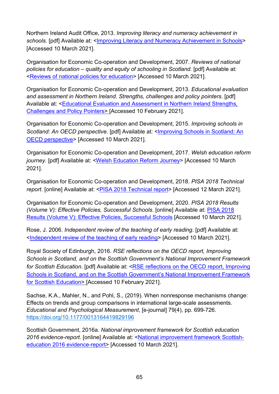Northern Ireland Audit Office, 2013. *Improving literacy and numeracy achievement in*  schools. [pdf] Available at: [<Improving Literacy and Numeracy Achievement in Schools>](https://www.niauditoffice.gov.uk/sites/niao/files/media-files/literacy_and_numeracy_2.pdf) [Accessed 10 March 2021].

Organisation for Economic Co-operation and Development, 2007. *Reviews of national policies for education – quality and equity of schooling in Scotland.* [pdf] Available at: [<Reviews of national policies for education>](http://www.oecd.org/education/school/40328315.pdf) [Accessed 10 March 2021].

Organisation for Economic Co-operation and Development, 2013. *Educational evaluation*  and assessment in Northern Ireland. Strengths, challenges and policy pointers. [pdf] Available at: <Educational Evaluation and Assessment in Northern Ireland Strengths, [Challenges and Policy Pointers>](http://www.oecd.org/education/school/Northern%20Ireland%20Strengths%20Challenges%20and%20Policy%20Pointers.pdf) [Accessed 10 February 2021].

Organisation for Economic Co-operation and Development, 2015. *Improving schools in*  Scotland: An OECD perspective. [pdf] Available at: <Improving Schools in Scotland: An [OECD perspective>](http://www.oecd.org/education/school/Improving-Schools-in-Scotland-An-OECD-Perspective.pdf) [Accessed 10 March 2021].

Organisation for Economic Co-operation and Development, 2017. *Welsh education reform*  journey. [pdf] Available at: [<Welsh Education Reform Journey>](http://www.oecd.org/education/The-Welsh-Education-Reform-Journey-FINAL.pdf) [Accessed 10 March 2021].

Organisation for Economic Co-operation and Development, 2018. *PISA 2018 Technical report*. [online] Available at: <**PISA 2018 Technical report>** [Accessed 12 March 2021].

Organisation for Economic Co-operation and Development, 2020. *PISA 2018 Results (Volume V): Effective Policies, Successful Schools*. [online] Available at: [PISA 2018](https://www.oecd-ilibrary.org/education/pisa-2018-results-volume-v_ca768d40-en)  [Results \(Volume V\): Effective Policies, Successful](https://www.oecd-ilibrary.org/education/pisa-2018-results-volume-v_ca768d40-en) Schools [Accessed 10 March 2021].

Rose, J. 2006. *Independent review of the teaching of early reading*. [pdf] Available at: [<Independent review of the teaching of early reading>](https://dera.ioe.ac.uk/5551/2/report.pdf) [Accessed 10 March 2021].

Royal Society of Edinburgh, 2016. *RSE reflections on the OECD report, Improving Schools in Scotland, and on the Scottish Government's National Improvement Framework for Scottish Education*. [pdf] Available at: [<RSE reflections on the OECD report, Improving](https://www.rse.org.uk/wp-content/uploads/2016/09/AP16_03_RSE_OECD_comment.pdf)  [Schools in Scotland, and on the Scottish Government's National Improvement Framework](https://www.rse.org.uk/wp-content/uploads/2016/09/AP16_03_RSE_OECD_comment.pdf)  [for Scottish Education> \[](https://www.rse.org.uk/wp-content/uploads/2016/09/AP16_03_RSE_OECD_comment.pdf)Accessed 10 February 2021].

Sachse, K.A., Mahler, N., and Pohl, S., (2019). When nonresponse mechanisms change: Effects on trends and group comparisons in international large-scale assessments. *Educational and Psychological Measurement*, [e-journal] 79(4), pp. 699-726. [https://doi.org/10.1177/0013164419829196](https://doi.org/10.1177%2F0013164419829196)

Scottish Government, 2016a. *National improvement framework for Scottish education 2016 evidence-report.* [online] Available at: [<National improvement framework Scottish](https://www.gov.scot/publications/national-improvement-framework-scottish-education-2016-evidence-report/)[education 2016 evidence-report>](https://www.gov.scot/publications/national-improvement-framework-scottish-education-2016-evidence-report/) [Accessed 10 March 2021].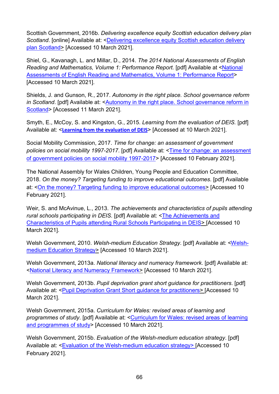Scottish Government, 2016b. *Delivering excellence equity Scottish education delivery plan*  Scotland. [online] Available at: <Delivering excellence equity Scottish education delivery [plan Scotland>](https://www.gov.scot/publications/delivering-excellence-equity-scottish-education-delivery-plan-scotland/pages/2/) [Accessed 10 March 2021].

Shiel, G., Kavanagh, L. and Millar, D., 2014. *The 2014 National Assessments of English Reading and Mathematics, Volume 1: Performance Report.* [pdf] Available at [<National](https://www.education.ie/en/Press-Events/Events/Literacy-and-Numeracy/National-Assessments-of-English-Reading-and-Mathematics-Performance-Report.pdf)  [Assessments of English Reading and Mathematics, Volume 1: Performance Report>](https://www.education.ie/en/Press-Events/Events/Literacy-and-Numeracy/National-Assessments-of-English-Reading-and-Mathematics-Performance-Report.pdf) [Accessed 10 March 2021].

Shields, J. and Gunson, R., 2017. *Autonomy in the right place. School governance reform in Scotland*. [pdf] Available at: [<Autonomy in the right place. School governance reform in](https://www.ippr.org/files/publications/pdf/autonomy-in-the-right-place_Apr2017.pdf?noredirect=1)  [Scotland>](https://www.ippr.org/files/publications/pdf/autonomy-in-the-right-place_Apr2017.pdf?noredirect=1) [Accessed 11 March 2021].

Smyth, E., McCoy, S. and Kingston, G., 2015. *Learning from the evaluation of DEIS.* [pdf] Available at: <**[Learning from the evaluation of DEIS](https://www.esri.ie/system/files/media/file-uploads/2015-07/RS39.pdf)**> [Accessed at 10 March 2021].

Social Mobility Commission, 2017. *Time for change: an assessment of government policies on social mobility 1997-2017*. [pdf] Available at: [<Time for change: an assessment](https://assets.publishing.service.gov.uk/government/uploads/system/uploads/attachment_data/file/622214/Time_for_Change_report_-_An_assessement_of_government_policies_on_social_mobility_1997-2017.pdf)  [of government policies on social mobility 1997-2017>](https://assets.publishing.service.gov.uk/government/uploads/system/uploads/attachment_data/file/622214/Time_for_Change_report_-_An_assessement_of_government_policies_on_social_mobility_1997-2017.pdf) [Accessed 10 February 2021].

The National Assembly for Wales Children, Young People and Education Committee, 2018. *On the money? Targeting funding to improve educational outcomes*. [pdf] Available at: < On the money? Targeting funding to improve educational outcomes > [Accessed 10] February 2021].

Weir, S. and McAvinue, L., 2013. *The achievements and characteristics of pupils attending rural schools participating in DEIS.* [pdf] Available at: [<The Achievements and](https://www.erc.ie/documents/rural_report2013.pdf)  [Characteristics of Pupils attending Rural Schools Participating in DEIS>](https://www.erc.ie/documents/rural_report2013.pdf) [Accessed 10 March 2021].

Welsh Government, 2010. *Welsh-medium Education Strategy*. [pdf] Available at: [<Welsh](https://dera.ioe.ac.uk/4248/1/100420welshmediumstrategyen.pdf)[medium Education Strategy>](https://dera.ioe.ac.uk/4248/1/100420welshmediumstrategyen.pdf) [Accessed 10 March 2021].

Welsh Government, 2013a. *National literacy and numeracy framework*. [pdf] Available at: [<National Literacy and Numeracy Framework>](https://hwb.gov.wales/api/storage/64812b0e-3d20-4d10-94e8-68221e47a38d/to-support-schools-in-introducing-the-national-literacy-and-numeracy-framework.pdf) [Accessed 10 March 2021].

Welsh Government, 2013b. *Pupil deprivation grant short guidance for practitioners*. [pdf] Available at: [<Pupil Deprivation Grant Short guidance for practitioners>](https://dera.ioe.ac.uk/19051/1/131216-pdg-short-guidance-for-practitioners-en.pdf) [Accessed 10 March 2021].

Welsh Government, 2015a. *Curriculum for Wales: revised areas of learning and programmes of study*. [pdf] Available at: [<Curriculum for Wales: revised areas of learning](https://hwb.gov.wales/api/storage/46382070-e563-46ee-85b5-202e41684e3b/curriculum-for-wales-revised-areas-of-learning-and-programmes-of-study.pdf)  [and programmes of study>](https://hwb.gov.wales/api/storage/46382070-e563-46ee-85b5-202e41684e3b/curriculum-for-wales-revised-areas-of-learning-and-programmes-of-study.pdf) [Accessed 10 March 2021].

Welsh Government, 2015b. *Evaluation of the Welsh-medium education strategy*. [pdf] Available at: [<Evaluation of the Welsh-medium education strategy>](https://gov.wales/sites/default/files/statistics-and-research/2018-12/160310-evaluation-welsh-medium-education-strategy-final-en.pdf) [Accessed 10 February 2021].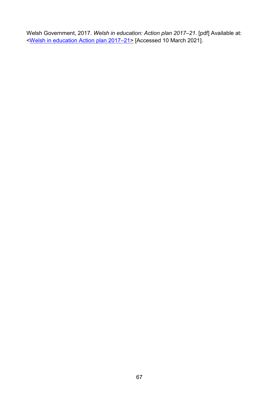Welsh Government, 2017. *Welsh in education: Action plan 2017–21*. [pdf] Available at: [<Welsh in education Action plan 2017–21>](https://gov.wales/sites/default/files/publications/2018-02/welsh-in-education-action-plan-2017%E2%80%9321.pdf) [Accessed 10 March 2021].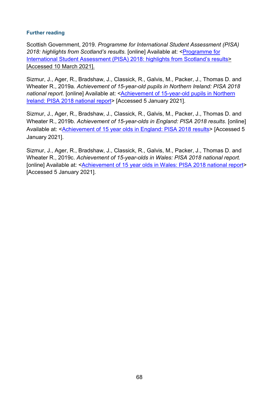#### **Further reading**

Scottish Government, 2019. *Programme for International Student Assessment (PISA) 2018: highlights from Scotland's results.* [online] Available at: [<Programme for](https://www.gov.scot/publications/programme-international-student-assessment-pisa-2018-highlights-scotlands-results/)  [International Student Assessment \(PISA\) 2018: highlights from Scotland's results>](https://www.gov.scot/publications/programme-international-student-assessment-pisa-2018-highlights-scotlands-results/) [Accessed 10 March 2021].

Sizmur, J., Ager, R., Bradshaw, J., Classick, R., Galvis, M., Packer, J., Thomas D. and Wheater R., 2019a. *Achievement of 15-year-old pupils in Northern Ireland: PISA 2018 national report*. [online] Available at: [<Achievement of 15-year-old pupils in Northern](https://www.nfer.ac.uk/achievement-of-15-year-old-pupils-in-northern-ireland-pisa-2018-national-report/)  [Ireland: PISA 2018 national report>](https://www.nfer.ac.uk/achievement-of-15-year-old-pupils-in-northern-ireland-pisa-2018-national-report/) [Accessed 5 January 2021].

Sizmur, J., Ager, R., Bradshaw, J., Classick, R., Galvis, M., Packer, J., Thomas D. and Wheater R., 2019b. *Achievement of 15-year-olds in England: PISA 2018 results*. [online] Available at: [<Achievement of 15 year olds in England: PISA 2018 results>](https://www.nfer.ac.uk/achievement-of-15-year-old-pupils-in-england-pisa-2018-national-report/) [Accessed 5 January 2021].

Sizmur, J., Ager, R., Bradshaw, J., Classick, R., Galvis, M., Packer, J., Thomas D. and Wheater R., 2019c. *Achievement of 15-year-olds in Wales: PISA 2018 national report.* [online] Available at: <**Achievement of 15 year olds in Wales: PISA 2018 national report>** [Accessed 5 January 2021].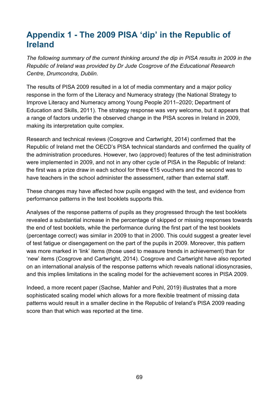# **Appendix 1 - The 2009 PISA 'dip' in the Republic of Ireland**

*The following summary of the current thinking around the dip in PISA results in 2009 in the Republic of Ireland was provided by Dr Jude Cosgrove of the Educational Research Centre, Drumcondra, Dublin.*

The results of PISA 2009 resulted in a lot of media commentary and a major policy response in the form of the Literacy and Numeracy strategy (the National Strategy to Improve Literacy and Numeracy among Young People 2011–2020; Department of Education and Skills, 2011). The strategy response was very welcome, but it appears that a range of factors underlie the observed change in the PISA scores in Ireland in 2009, making its interpretation quite complex.

Research and technical reviews (Cosgrove and Cartwright, 2014) confirmed that the Republic of Ireland met the OECD's PISA technical standards and confirmed the quality of the administration procedures. However, two (approved) features of the test administration were implemented in 2009, and not in any other cycle of PISA in the Republic of Ireland: the first was a prize draw in each school for three €15 vouchers and the second was to have teachers in the school administer the assessment, rather than external staff.

These changes may have affected how pupils engaged with the test, and evidence from performance patterns in the test booklets supports this.

Analyses of the response patterns of pupils as they progressed through the test booklets revealed a substantial increase in the percentage of skipped or missing responses towards the end of test booklets, while the performance during the first part of the test booklets (percentage correct) was similar in 2009 to that in 2000. This could suggest a greater level of test fatigue or disengagement on the part of the pupils in 2009. Moreover, this pattern was more marked in 'link' items (those used to measure trends in achievement) than for 'new' items (Cosgrove and Cartwright, 2014). Cosgrove and Cartwright have also reported on an international analysis of the response patterns which reveals national idiosyncrasies, and this implies limitations in the scaling model for the achievement scores in PISA 2009.

Indeed, a more recent paper (Sachse, Mahler and Pohl, 2019) illustrates that a more sophisticated scaling model which allows for a more flexible treatment of missing data patterns would result in a smaller decline in the Republic of Ireland's PISA 2009 reading score than that which was reported at the time.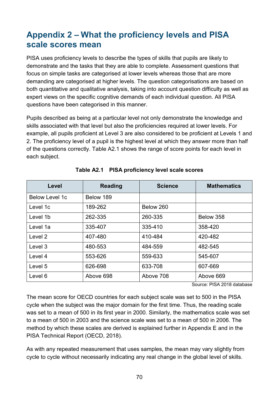# **Appendix 2 – What the proficiency levels and PISA scale scores mean**

PISA uses proficiency levels to describe the types of skills that pupils are likely to demonstrate and the tasks that they are able to complete. Assessment questions that focus on simple tasks are categorised at lower levels whereas those that are more demanding are categorised at higher levels. The question categorisations are based on both quantitative and qualitative analysis, taking into account question difficulty as well as expert views on the specific cognitive demands of each individual question. All PISA questions have been categorised in this manner.

Pupils described as being at a particular level not only demonstrate the knowledge and skills associated with that level but also the proficiencies required at lower levels. For example, all pupils proficient at Level 3 are also considered to be proficient at Levels 1 and 2. The proficiency level of a pupil is the highest level at which they answer more than half of the questions correctly. Table A2.1 shows the range of score points for each level in each subject.

| Level                 | <b>Reading</b> | <b>Science</b> | <b>Mathematics</b> |
|-----------------------|----------------|----------------|--------------------|
| <b>Below Level 1c</b> | Below 189      |                |                    |
| Level 1c              | 189-262        | Below 260      |                    |
| Level 1b              | 262-335        | 260-335        | Below 358          |
| Level 1a              | 335-407        | 335-410        | 358-420            |
| Level 2               | 407-480        | 410-484        | 420-482            |
| Level 3               | 480-553        | 484-559        | 482-545            |
| Level 4               | 553-626        | 559-633        | 545-607            |
| Level 5               | 626-698        | 633-708        | 607-669            |
| Level 6               | Above 698      | Above 708      | Above 669          |

# **Table A2.1 PISA proficiency level scale scores**

Source: PISA 2018 database

The mean score for OECD countries for each subject scale was set to 500 in the PISA cycle when the subject was the major domain for the first time. Thus, the reading scale was set to a mean of 500 in its first year in 2000. Similarly, the mathematics scale was set to a mean of 500 in 2003 and the science scale was set to a mean of 500 in 2006. The method by which these scales are derived is explained further in Appendix E and in the PISA Technical Report (OECD, 2018).

As with any repeated measurement that uses samples, the mean may vary slightly from cycle to cycle without necessarily indicating any real change in the global level of skills.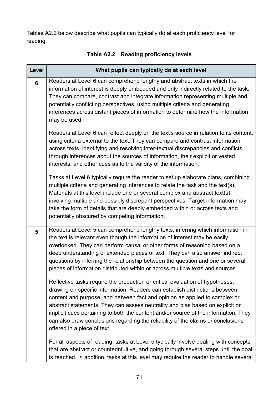Tables A2.2 below describe what pupils can typically do at each proficiency level for reading.

| Level          | What pupils can typically do at each level                                                                                                                                                                                                                                                                                                                                                                                                                                                                                            |
|----------------|---------------------------------------------------------------------------------------------------------------------------------------------------------------------------------------------------------------------------------------------------------------------------------------------------------------------------------------------------------------------------------------------------------------------------------------------------------------------------------------------------------------------------------------|
| $6\phantom{1}$ | Readers at Level 6 can comprehend lengthy and abstract texts in which the<br>information of interest is deeply embedded and only indirectly related to the task.<br>They can compare, contrast and integrate information representing multiple and<br>potentially conflicting perspectives, using multiple criteria and generating<br>inferences across distant pieces of information to determine how the information<br>may be used.                                                                                                |
|                | Readers at Level 6 can reflect deeply on the text's source in relation to its content,<br>using criteria external to the text. They can compare and contrast information<br>across texts, identifying and resolving inter-textual discrepancies and conflicts<br>through inferences about the sources of information, their explicit or vested<br>interests, and other cues as to the validity of the information.                                                                                                                    |
|                | Tasks at Level 6 typically require the reader to set up elaborate plans, combining<br>multiple criteria and generating inferences to relate the task and the text(s).<br>Materials at this level include one or several complex and abstract text(s),<br>involving multiple and possibly discrepant perspectives. Target information may<br>take the form of details that are deeply embedded within or across texts and<br>potentially obscured by competing information.                                                            |
| 5              | Readers at Level 5 can comprehend lengthy texts, inferring which information in<br>the text is relevant even though the information of interest may be easily<br>overlooked. They can perform causal or other forms of reasoning based on a<br>deep understanding of extended pieces of text. They can also answer indirect<br>questions by inferring the relationship between the question and one or several<br>pieces of information distributed within or across multiple texts and sources.                                      |
|                | Reflective tasks require the production or critical evaluation of hypotheses,<br>drawing on specific information. Readers can establish distinctions between<br>content and purpose, and between fact and opinion as applied to complex or<br>abstract statements. They can assess neutrality and bias based on explicit or<br>implicit cues pertaining to both the content and/or source of the information. They<br>can also draw conclusions regarding the reliability of the claims or conclusions<br>offered in a piece of text. |
|                | For all aspects of reading, tasks at Level 5 typically involve dealing with concepts<br>that are abstract or counterintuitive, and going through several steps until the goal<br>is reached. In addition, tasks at this level may require the reader to handle several                                                                                                                                                                                                                                                                |

# **Table A2.2 Reading proficiency levels**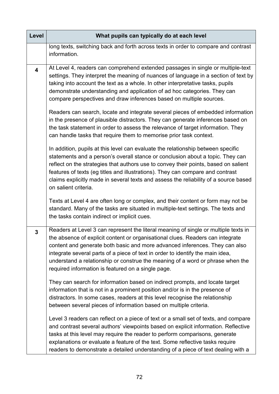| Level                   | What pupils can typically do at each level                                                                                                                                                                                                                                                                                                                                                                                                                                     |
|-------------------------|--------------------------------------------------------------------------------------------------------------------------------------------------------------------------------------------------------------------------------------------------------------------------------------------------------------------------------------------------------------------------------------------------------------------------------------------------------------------------------|
|                         | long texts, switching back and forth across texts in order to compare and contrast<br>information.                                                                                                                                                                                                                                                                                                                                                                             |
| $\overline{\mathbf{4}}$ | At Level 4, readers can comprehend extended passages in single or multiple-text<br>settings. They interpret the meaning of nuances of language in a section of text by<br>taking into account the text as a whole. In other interpretative tasks, pupils<br>demonstrate understanding and application of ad hoc categories. They can<br>compare perspectives and draw inferences based on multiple sources.                                                                    |
|                         | Readers can search, locate and integrate several pieces of embedded information<br>in the presence of plausible distractors. They can generate inferences based on<br>the task statement in order to assess the relevance of target information. They<br>can handle tasks that require them to memorise prior task context.                                                                                                                                                    |
|                         | In addition, pupils at this level can evaluate the relationship between specific<br>statements and a person's overall stance or conclusion about a topic. They can<br>reflect on the strategies that authors use to convey their points, based on salient<br>features of texts (eg titles and illustrations). They can compare and contrast<br>claims explicitly made in several texts and assess the reliability of a source based<br>on salient criteria.                    |
|                         | Texts at Level 4 are often long or complex, and their content or form may not be<br>standard. Many of the tasks are situated in multiple-text settings. The texts and<br>the tasks contain indirect or implicit cues.                                                                                                                                                                                                                                                          |
| $\overline{3}$          | Readers at Level 3 can represent the literal meaning of single or multiple texts in<br>the absence of explicit content or organisational clues. Readers can integrate<br>content and generate both basic and more advanced inferences. They can also<br>integrate several parts of a piece of text in order to identify the main idea,<br>understand a relationship or construe the meaning of a word or phrase when the<br>required information is featured on a single page. |
|                         | They can search for information based on indirect prompts, and locate target<br>information that is not in a prominent position and/or is in the presence of<br>distractors. In some cases, readers at this level recognise the relationship<br>between several pieces of information based on multiple criteria.                                                                                                                                                              |
|                         | Level 3 readers can reflect on a piece of text or a small set of texts, and compare<br>and contrast several authors' viewpoints based on explicit information. Reflective<br>tasks at this level may require the reader to perform comparisons, generate<br>explanations or evaluate a feature of the text. Some reflective tasks require<br>readers to demonstrate a detailed understanding of a piece of text dealing with a                                                 |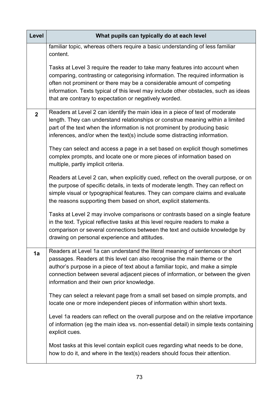| Level          | What pupils can typically do at each level                                                                                                                                                                                                                                                                                                                                                |
|----------------|-------------------------------------------------------------------------------------------------------------------------------------------------------------------------------------------------------------------------------------------------------------------------------------------------------------------------------------------------------------------------------------------|
|                | familiar topic, whereas others require a basic understanding of less familiar<br>content.                                                                                                                                                                                                                                                                                                 |
|                | Tasks at Level 3 require the reader to take many features into account when<br>comparing, contrasting or categorising information. The required information is<br>often not prominent or there may be a considerable amount of competing<br>information. Texts typical of this level may include other obstacles, such as ideas<br>that are contrary to expectation or negatively worded. |
| $\overline{2}$ | Readers at Level 2 can identify the main idea in a piece of text of moderate<br>length. They can understand relationships or construe meaning within a limited<br>part of the text when the information is not prominent by producing basic<br>inferences, and/or when the text(s) include some distracting information.                                                                  |
|                | They can select and access a page in a set based on explicit though sometimes<br>complex prompts, and locate one or more pieces of information based on<br>multiple, partly implicit criteria.                                                                                                                                                                                            |
|                | Readers at Level 2 can, when explicitly cued, reflect on the overall purpose, or on<br>the purpose of specific details, in texts of moderate length. They can reflect on<br>simple visual or typographical features. They can compare claims and evaluate<br>the reasons supporting them based on short, explicit statements.                                                             |
|                | Tasks at Level 2 may involve comparisons or contrasts based on a single feature<br>in the text. Typical reflective tasks at this level require readers to make a<br>comparison or several connections between the text and outside knowledge by<br>drawing on personal experience and attitudes.                                                                                          |
| 1a             | Readers at Level 1a can understand the literal meaning of sentences or short<br>passages. Readers at this level can also recognise the main theme or the<br>author's purpose in a piece of text about a familiar topic, and make a simple<br>connection between several adjacent pieces of information, or between the given<br>information and their own prior knowledge.                |
|                | They can select a relevant page from a small set based on simple prompts, and<br>locate one or more independent pieces of information within short texts.                                                                                                                                                                                                                                 |
|                | Level 1a readers can reflect on the overall purpose and on the relative importance<br>of information (eg the main idea vs. non-essential detail) in simple texts containing<br>explicit cues.                                                                                                                                                                                             |
|                | Most tasks at this level contain explicit cues regarding what needs to be done,<br>how to do it, and where in the text(s) readers should focus their attention.                                                                                                                                                                                                                           |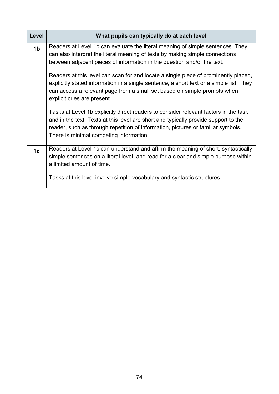| Level          | What pupils can typically do at each level                                                                                                                                                                                                                                                                                                                                                                                                                                                                                                                                                                                                                                                                                                                                                                                                          |
|----------------|-----------------------------------------------------------------------------------------------------------------------------------------------------------------------------------------------------------------------------------------------------------------------------------------------------------------------------------------------------------------------------------------------------------------------------------------------------------------------------------------------------------------------------------------------------------------------------------------------------------------------------------------------------------------------------------------------------------------------------------------------------------------------------------------------------------------------------------------------------|
| 1 <sub>b</sub> | Readers at Level 1b can evaluate the literal meaning of simple sentences. They<br>can also interpret the literal meaning of texts by making simple connections<br>between adjacent pieces of information in the question and/or the text.<br>Readers at this level can scan for and locate a single piece of prominently placed,<br>explicitly stated information in a single sentence, a short text or a simple list. They<br>can access a relevant page from a small set based on simple prompts when<br>explicit cues are present.<br>Tasks at Level 1b explicitly direct readers to consider relevant factors in the task<br>and in the text. Texts at this level are short and typically provide support to the<br>reader, such as through repetition of information, pictures or familiar symbols.<br>There is minimal competing information. |
| 1 <sub>c</sub> | Readers at Level 1c can understand and affirm the meaning of short, syntactically<br>simple sentences on a literal level, and read for a clear and simple purpose within<br>a limited amount of time.<br>Tasks at this level involve simple vocabulary and syntactic structures.                                                                                                                                                                                                                                                                                                                                                                                                                                                                                                                                                                    |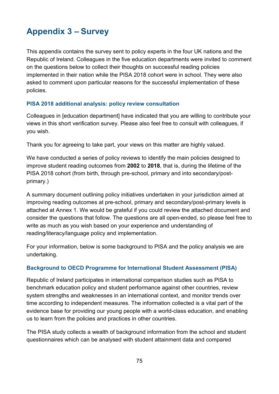# **Appendix 3 – Survey**

This appendix contains the survey sent to policy experts in the four UK nations and the Republic of Ireland. Colleagues in the five education departments were invited to comment on the questions below to collect their thoughts on successful reading policies implemented in their nation while the PISA 2018 cohort were in school. They were also asked to comment upon particular reasons for the successful implementation of these policies.

# **PISA 2018 additional analysis: policy review consultation**

Colleagues in [education department] have indicated that you are willing to contribute your views in this short verification survey. Please also feel free to consult with colleagues, if you wish.

Thank you for agreeing to take part, your views on this matter are highly valued.

We have conducted a series of policy reviews to identify the main policies designed to improve student reading outcomes from **2002** to **2018**, that is, during the lifetime of the PISA 2018 cohort (from birth, through pre-school, primary and into secondary/postprimary.)

A summary document outlining policy initiatives undertaken in your jurisdiction aimed at improving reading outcomes at pre-school, primary and secondary/post-primary levels is attached at Annex 1. We would be grateful if you could review the attached document and consider the questions that follow. The questions are all open-ended, so please feel free to write as much as you wish based on your experience and understanding of reading/literacy/language policy and implementation.

For your information, below is some background to PISA and the policy analysis we are undertaking.

## **Background to OECD Programme for International Student Assessment (PISA)**

Republic of Ireland participates in international comparison studies such as PISA to benchmark education policy and student performance against other countries, review system strengths and weaknesses in an international context, and monitor trends over time according to independent measures. The information collected is a vital part of the evidence base for providing our young people with a world-class education, and enabling us to learn from the policies and practices in other countries.

The PISA study collects a wealth of background information from the school and student questionnaires which can be analysed with student attainment data and compared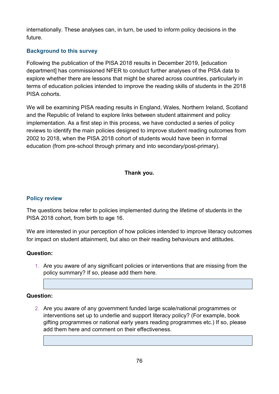internationally. These analyses can, in turn, be used to inform policy decisions in the future.

# **Background to this survey**

Following the publication of the PISA 2018 results in December 2019, [education department] has commissioned NFER to conduct further analyses of the PISA data to explore whether there are lessons that might be shared across countries, particularly in terms of education policies intended to improve the reading skills of students in the 2018 PISA cohorts.

We will be examining PISA reading results in England, Wales, Northern Ireland, Scotland and the Republic of Ireland to explore links between student attainment and policy implementation. As a first step in this process, we have conducted a series of policy reviews to identify the main policies designed to improve student reading outcomes from 2002 to 2018, when the PISA 2018 cohort of students would have been in formal education (from pre-school through primary and into secondary/post-primary).

# **Thank you.**

## **Policy review**

The questions below refer to policies implemented during the lifetime of students in the PISA 2018 cohort, from birth to age 16.

We are interested in your perception of how policies intended to improve literacy outcomes for impact on student attainment, but also on their reading behaviours and attitudes.

## **Question:**

1. Are you aware of any significant policies or interventions that are missing from the policy summary? If so, please add them here.

## **Question:**

2. Are you aware of any government funded large scale/national programmes or interventions set up to underlie and support literacy policy? (For example, book gifting programmes or national early years reading programmes etc.) If so, please add them here and comment on their effectiveness.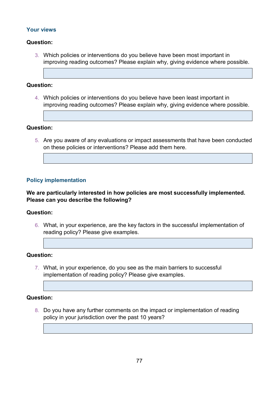### **Your views**

#### **Question:**

3. Which policies or interventions do you believe have been most important in improving reading outcomes? Please explain why, giving evidence where possible.

#### **Question:**

4. Which policies or interventions do you believe have been least important in improving reading outcomes? Please explain why, giving evidence where possible.

#### **Question:**

5. Are you aware of any evaluations or impact assessments that have been conducted on these policies or interventions? Please add them here.

#### **Policy implementation**

#### **We are particularly interested in how policies are most successfully implemented. Please can you describe the following?**

#### **Question:**

6. What, in your experience, are the key factors in the successful implementation of reading policy? Please give examples.

#### **Question:**

7. What, in your experience, do you see as the main barriers to successful implementation of reading policy? Please give examples.

#### **Question:**

8. Do you have any further comments on the impact or implementation of reading policy in your jurisdiction over the past 10 years?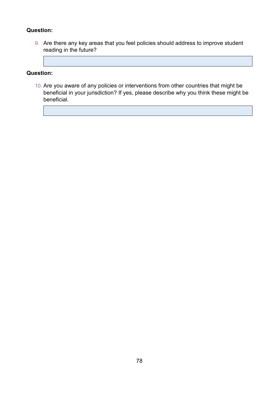# **Question:**

9. Are there any key areas that you feel policies should address to improve student reading in the future?

### **Question:**

10. Are you aware of any policies or interventions from other countries that might be beneficial in your jurisdiction? If yes, please describe why you think these might be beneficial.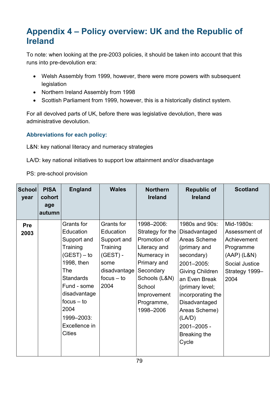# **Appendix 4 – Policy overview: UK and the Republic of Ireland**

To note: when looking at the pre-2003 policies, it should be taken into account that this runs into pre-devolution era:

- Welsh Assembly from 1999, however, there were more powers with subsequent legislation
- Northern Ireland Assembly from 1998
- Scottish Parliament from 1999, however, this is a historically distinct system.

For all devolved parts of UK, before there was legislative devolution, there was administrative devolution.

# **Abbreviations for each policy:**

L&N: key national literacy and numeracy strategies

LA/D: key national initiatives to support low attainment and/or disadvantage

PS: pre-school provision

| <b>School</b><br>year | <b>PISA</b><br>cohort<br>age<br>autumn | <b>England</b>                                                                                                                                                                                                      | <b>Wales</b>                                                                                                     | <b>Northern</b><br><b>Ireland</b>                                                                                                                                              | <b>Republic of</b><br><b>Ireland</b>                                                                                                                                                                                                                                   | <b>Scotland</b>                                                                                                      |
|-----------------------|----------------------------------------|---------------------------------------------------------------------------------------------------------------------------------------------------------------------------------------------------------------------|------------------------------------------------------------------------------------------------------------------|--------------------------------------------------------------------------------------------------------------------------------------------------------------------------------|------------------------------------------------------------------------------------------------------------------------------------------------------------------------------------------------------------------------------------------------------------------------|----------------------------------------------------------------------------------------------------------------------|
| Pre<br>2003           |                                        | Grants for<br>Education<br>Support and<br>Training<br>$(GEST) - to$<br>1998, then<br>The<br><b>Standards</b><br>Fund - some<br>disadvantage<br>$focus - to$<br>2004<br>1999-2003:<br>Excellence in<br><b>Cities</b> | Grants for<br>Education<br>Support and<br>Training<br>$(GEST) -$<br>some<br>disadvantage<br>$focus - to$<br>2004 | 1998-2006:<br>Strategy for the<br>Promotion of<br>Literacy and<br>Numeracy in<br>Primary and<br>Secondary<br>Schools (L&N)<br>School<br>Improvement<br>Programme,<br>1998-2006 | 1980s and 90s:<br>Disadvantaged<br>Areas Scheme<br>(primary and<br>secondary)<br>2001-2005:<br><b>Giving Children</b><br>an Even Break<br>(primary level;<br>incorporating the<br>Disadvantaged<br>Areas Scheme)<br>(LA/D)<br>$2001 - 2005 -$<br>Breaking the<br>Cycle | Mid-1980s:<br>Assessment of<br>Achievement<br>Programme<br>$(AAP)$ (L&N)<br>Social Justice<br>Strategy 1999-<br>2004 |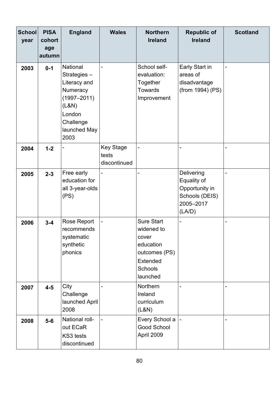| <b>School</b><br>year | <b>PISA</b><br>cohort<br>age<br>autumn | <b>England</b>                                                                                                                        | <b>Wales</b>                              | <b>Northern</b><br><b>Ireland</b>                                                                                | <b>Republic of</b><br><b>Ireland</b>                                                 | <b>Scotland</b> |
|-----------------------|----------------------------------------|---------------------------------------------------------------------------------------------------------------------------------------|-------------------------------------------|------------------------------------------------------------------------------------------------------------------|--------------------------------------------------------------------------------------|-----------------|
| 2003                  | $0 - 1$                                | <b>National</b><br>Strategies-<br>Literacy and<br>Numeracy<br>$(1997 - 2011)$<br>(L&N)<br>London<br>Challenge<br>launched May<br>2003 |                                           | School self-<br>evaluation:<br>Together<br><b>Towards</b><br>Improvement                                         | Early Start in<br>areas of<br>disadvantage<br>(from 1994) (PS)                       |                 |
| 2004                  | $1 - 2$                                |                                                                                                                                       | <b>Key Stage</b><br>tests<br>discontinued | ÷,                                                                                                               | $\overline{a}$                                                                       |                 |
| 2005                  | $2 - 3$                                | Free early<br>education for<br>all 3-year-olds<br>(PS)                                                                                |                                           |                                                                                                                  | Delivering<br>Equality of<br>Opportunity in<br>Schools (DEIS)<br>2005-2017<br>(LA/D) |                 |
| 2006                  | $3 - 4$                                | <b>Rose Report</b><br>recommends<br>systematic<br>synthetic<br>phonics                                                                |                                           | <b>Sure Start</b><br>widened to<br>cover<br>education<br>outcomes (PS)<br><b>Extended</b><br>Schools<br>launched | -                                                                                    |                 |
| 2007                  | $4 - 5$                                | City<br>Challenge<br>launched April<br>2008                                                                                           |                                           | Northern<br>Ireland<br>curriculum<br>(L&N)                                                                       | $\blacksquare$                                                                       |                 |
| 2008                  | $5-6$                                  | National roll-<br>out ECaR<br>KS3 tests<br>discontinued                                                                               |                                           | Every School a<br><b>Good School</b><br>April 2009                                                               |                                                                                      |                 |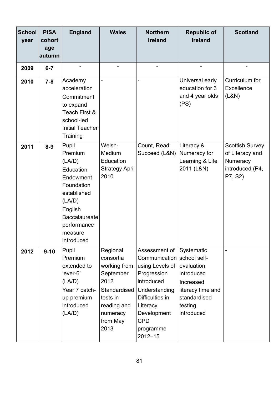| <b>School</b><br>year | <b>PISA</b><br>cohort<br>age | <b>England</b>                                                                                                                                                         | <b>Wales</b>                                                                                                                          | <b>Northern</b><br><b>Ireland</b>                                                                                                                                                                    | <b>Republic of</b><br><b>Ireland</b>                                                                              | <b>Scotland</b>                                                                     |
|-----------------------|------------------------------|------------------------------------------------------------------------------------------------------------------------------------------------------------------------|---------------------------------------------------------------------------------------------------------------------------------------|------------------------------------------------------------------------------------------------------------------------------------------------------------------------------------------------------|-------------------------------------------------------------------------------------------------------------------|-------------------------------------------------------------------------------------|
|                       | autumn                       |                                                                                                                                                                        |                                                                                                                                       |                                                                                                                                                                                                      |                                                                                                                   |                                                                                     |
| 2009                  | $6 - 7$                      | -                                                                                                                                                                      |                                                                                                                                       |                                                                                                                                                                                                      | -                                                                                                                 |                                                                                     |
| 2010                  | $7 - 8$                      | Academy<br>acceleration<br>Commitment<br>to expand<br>Teach First &<br>school-led<br><b>Initial Teacher</b><br>Training                                                |                                                                                                                                       |                                                                                                                                                                                                      | Universal early<br>education for 3<br>and 4 year olds<br>(PS)                                                     | Curriculum for<br><b>Excellence</b><br>(L&N)                                        |
| 2011                  | $8 - 9$                      | Pupil<br>Premium<br>(LA/D)<br>Education<br>Endowment<br>Foundation<br>established<br>(LA/D)<br>English<br><b>Baccalaureate</b><br>performance<br>measure<br>introduced | Welsh-<br>Medium<br>Education<br><b>Strategy April</b><br>2010                                                                        | Count, Read:<br>Succeed (L&N)                                                                                                                                                                        | Literacy &<br>Numeracy for<br>Learning & Life<br>2011 (L&N)                                                       | <b>Scottish Survey</b><br>of Literacy and<br>Numeracy<br>introduced (P4,<br>P7, S2) |
| 2012                  | $9 - 10$                     | Pupil<br>Premium<br>extended to<br>'ever-6'<br>(LA/D)<br>Year 7 catch-<br>up premium<br>introduced<br>(LA/D)                                                           | Regional<br>consortia<br>working from<br>September<br>2012<br>Standardised<br>tests in<br>reading and<br>numeracy<br>from May<br>2013 | Assessment of<br>Communication school self-<br>using Levels of<br>Progression<br>introduced<br>Understanding<br>Difficulties in<br>Literacy<br>Development<br><b>CPD</b><br>programme<br>$2012 - 15$ | Systematic<br>evaluation<br>introduced<br>Increased<br>literacy time and<br>standardised<br>testing<br>introduced |                                                                                     |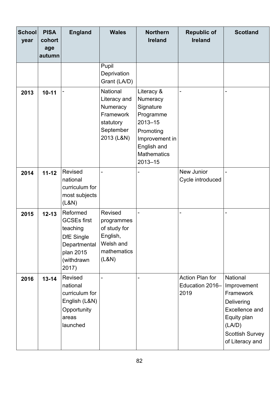| <b>School</b><br>year | <b>PISA</b><br>cohort<br>age<br>autumn | <b>England</b>                                                                                                      | <b>Wales</b>                                                                              | <b>Northern</b><br><b>Ireland</b>                                                                                                                  | <b>Republic of</b><br><b>Ireland</b>              | <b>Scotland</b>                                                                                                                                   |
|-----------------------|----------------------------------------|---------------------------------------------------------------------------------------------------------------------|-------------------------------------------------------------------------------------------|----------------------------------------------------------------------------------------------------------------------------------------------------|---------------------------------------------------|---------------------------------------------------------------------------------------------------------------------------------------------------|
|                       |                                        |                                                                                                                     | Pupil<br>Deprivation<br>Grant (LA/D)                                                      |                                                                                                                                                    |                                                   |                                                                                                                                                   |
| 2013                  | $10 - 11$                              |                                                                                                                     | National<br>Literacy and<br>Numeracy<br>Framework<br>statutory<br>September<br>2013 (L&N) | Literacy &<br>Numeracy<br>Signature<br>Programme<br>$2013 - 15$<br>Promoting<br>Improvement in<br>English and<br><b>Mathematics</b><br>$2013 - 15$ |                                                   |                                                                                                                                                   |
| 2014                  | $11 - 12$                              | Revised<br>national<br>curriculum for<br>most subjects<br>(L&N)                                                     |                                                                                           |                                                                                                                                                    | New Junior<br>Cycle introduced                    |                                                                                                                                                   |
| 2015                  | $12 - 13$                              | Reformed<br><b>GCSEs first</b><br>teaching<br><b>DfE</b> Single<br>Departmental<br>plan 2015<br>(withdrawn<br>2017) | Revised<br>programmes<br>of study for<br>English,<br>Welsh and<br>mathematics<br>(L&N)    |                                                                                                                                                    |                                                   |                                                                                                                                                   |
| 2016                  | $13 - 14$                              | Revised<br>national<br>curriculum for<br>English (L&N)<br>Opportunity<br>areas<br>launched                          |                                                                                           |                                                                                                                                                    | <b>Action Plan for</b><br>Education 2016-<br>2019 | National<br>Improvement<br>Framework<br>Delivering<br><b>Excellence and</b><br>Equity plan<br>(LA/D)<br><b>Scottish Survey</b><br>of Literacy and |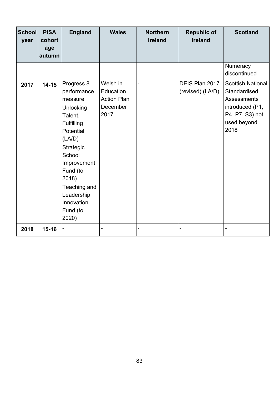| <b>School</b><br>year | <b>PISA</b><br>cohort<br>age<br>autumn | <b>England</b>                                                                                                                                                                                                                | <b>Wales</b>                                                    | <b>Northern</b><br><b>Ireland</b> | <b>Republic of</b><br><b>Ireland</b> | <b>Scotland</b>                                                                                                             |
|-----------------------|----------------------------------------|-------------------------------------------------------------------------------------------------------------------------------------------------------------------------------------------------------------------------------|-----------------------------------------------------------------|-----------------------------------|--------------------------------------|-----------------------------------------------------------------------------------------------------------------------------|
|                       |                                        |                                                                                                                                                                                                                               |                                                                 |                                   |                                      | Numeracy<br>discontinued                                                                                                    |
| 2017                  | $14 - 15$                              | Progress 8<br>performance<br>measure<br>Unlocking<br>Talent,<br>Fulfilling<br>Potential<br>(LA/D)<br>Strategic<br>School<br>Improvement<br>Fund (to<br>2018)<br>Teaching and<br>Leadership<br>Innovation<br>Fund (to<br>2020) | Welsh in<br>Education<br><b>Action Plan</b><br>December<br>2017 | $\overline{a}$                    | DEIS Plan 2017<br>(revised) (LA/D)   | <b>Scottish National</b><br>Standardised<br><b>Assessments</b><br>introduced (P1,<br>P4, P7, S3) not<br>used beyond<br>2018 |
| 2018                  | $15 - 16$                              |                                                                                                                                                                                                                               |                                                                 | -                                 |                                      |                                                                                                                             |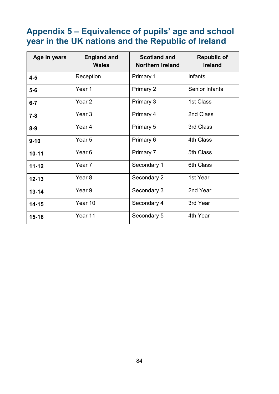# **Appendix 5 – Equivalence of pupils' age and school year in the UK nations and the Republic of Ireland**

| Age in years | <b>England and</b><br><b>Wales</b> | <b>Scotland and</b><br><b>Northern Ireland</b> | <b>Republic of</b><br><b>Ireland</b> |
|--------------|------------------------------------|------------------------------------------------|--------------------------------------|
| $4 - 5$      | Reception                          | <b>Primary 1</b>                               | Infants                              |
| $5-6$        | Year 1                             | Primary 2                                      | <b>Senior Infants</b>                |
| $6 - 7$      | Year <sub>2</sub>                  | Primary 3                                      | 1st Class                            |
| $7 - 8$      | Year <sub>3</sub>                  | Primary 4                                      | 2nd Class                            |
| $8 - 9$      | Year 4                             | Primary 5                                      | 3rd Class                            |
| $9 - 10$     | Year <sub>5</sub>                  | Primary 6                                      | 4th Class                            |
| $10 - 11$    | Year <sub>6</sub>                  | Primary 7                                      | 5th Class                            |
| $11 - 12$    | Year 7                             | Secondary 1                                    | 6th Class                            |
| $12 - 13$    | Year <sub>8</sub>                  | Secondary 2                                    | 1st Year                             |
| $13 - 14$    | Year 9                             | Secondary 3                                    | 2nd Year                             |
| $14 - 15$    | Year 10                            | Secondary 4                                    | 3rd Year                             |
| $15 - 16$    | Year 11                            | Secondary 5                                    | 4th Year                             |